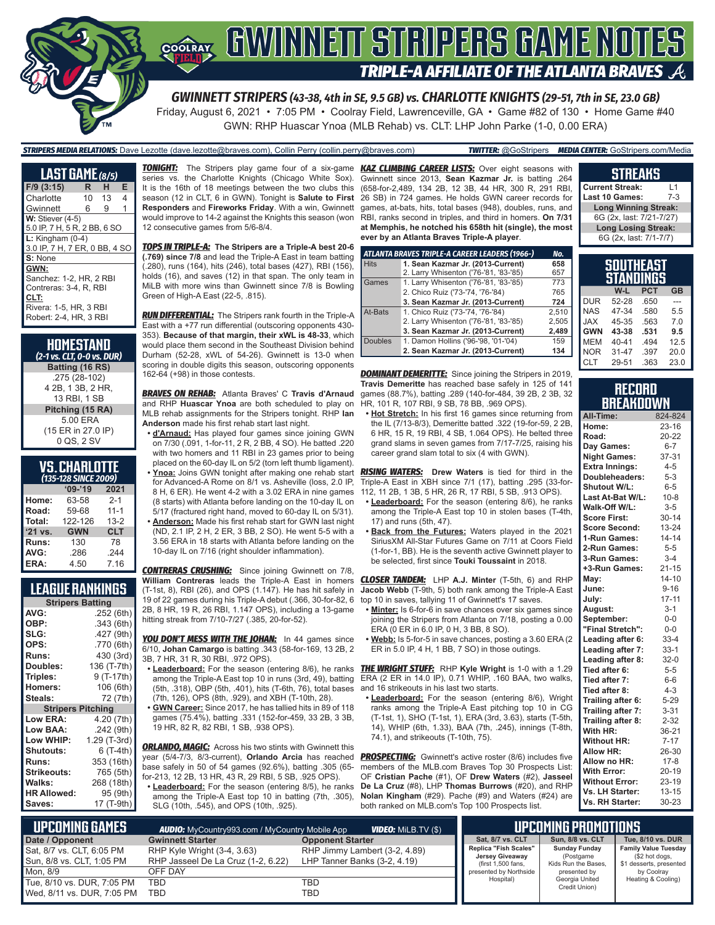

## **COORAY GWINNEIT STRIPERS GAME NOTES TRIPLE-A AFFILIATE OF THE ATLANTA BRAVES**

*GWINNETT STRIPERS (43-38, 4th in SE, 9.5 GB) vs. CHARLOTTE KNIGHTS (29-51, 7th in SE, 23.0 GB)*

Friday, August 6, 2021 • 7:05 PM • Coolray Field, Lawrenceville, GA • Game #82 of 130 • Home Game #40 GWN: RHP Huascar Ynoa (MLB Rehab) vs. CLT: LHP John Parke (1-0, 0.00 ERA)

#### *STRIPERS MEDIA RELATIONS:* Dave Lezotte (dave.lezotte@braves.com), Collin Perry (collin.perry@braves.com) *TWITTER:* @GoStripers *MEDIA CENTER:* GoStripers.com/Media

| LAST GAME (8/5)                                                                                                       |    |    |   |
|-----------------------------------------------------------------------------------------------------------------------|----|----|---|
| $F/9$ (3:15)                                                                                                          | R. | н  | E |
| Charlotte                                                                                                             | 10 | 13 | 4 |
| Gwinnett                                                                                                              | 6  | 9  | 1 |
| $W:$ Stiever (4-5)<br>5.0 IP, 7 H, 5 R, 2 BB, 6 SO                                                                    |    |    |   |
| $L:$ Kingham (0-4)<br>3.0 IP, 7 H, 7 ER, 0 BB, 4 SO                                                                   |    |    |   |
| S: None                                                                                                               |    |    |   |
| GWN:<br>Sanchez: 1-2, HR, 2 RBI<br>Contreras: 3-4, R. RBI<br>CLT:<br>Rivera: 1-5, HR, 3 RBI<br>Robert: 2-4. HR. 3 RBI |    |    |   |

| HOMESTAND<br>(2-1 vs. CLT, 0-0 vs. DUR) |
|-----------------------------------------|
| Batting (16 RS)                         |
| .275 (28-102)                           |
| 4 2B, 1 3B, 2 HR,                       |
| 13 RBI, 1 SB                            |
| Pitching (15 RA)                        |
| 5.00 FRA                                |
| (15 ER in 27.0 IP)                      |
| 0 QS, 2 SV                              |

| <b>VS. CHARLOTTE</b> |
|----------------------|
| (135-128 SINCE 2009) |

|         | $09 - 19$  | 2021       |
|---------|------------|------------|
| Home:   | 63-58      | $2 - 1$    |
| Road:   | 59-68      | $11 - 1$   |
| Total:  | 122-126    | $13 - 2$   |
| '21 vs. | <b>GWN</b> | <b>CLT</b> |
| Runs:   | 130        | 78         |
| AVG:    | .286       | .244       |
| ERA:    | 4.50       | 7.16       |

### **LEAGUE RANKINGS**

| <b>Stripers Batting</b>  |              |  |  |  |
|--------------------------|--------------|--|--|--|
| AVG:                     | .252 (6th)   |  |  |  |
| OBP:                     | .343 (6th)   |  |  |  |
| SLG:                     | .427 (9th)   |  |  |  |
| OPS:                     | .770 (6th)   |  |  |  |
| <b>Runs:</b>             | 430 (3rd)    |  |  |  |
| <b>Doubles:</b>          | 136 (T-7th)  |  |  |  |
| Triples:                 | 9 (T-17th)   |  |  |  |
| <b>Homers:</b>           | 106 (6th)    |  |  |  |
| Steals:                  | 72 (7th)     |  |  |  |
| <b>Stripers Pitching</b> |              |  |  |  |
| <b>Low ERA:</b>          | 4.20 (7th)   |  |  |  |
| Low BAA:                 | .242(9th)    |  |  |  |
| Low WHIP:                | 1.29 (T-3rd) |  |  |  |
| <b>Shutouts:</b>         | $6(T-4th)$   |  |  |  |
| <b>Runs:</b>             | 353 (16th)   |  |  |  |
| Strikeouts:              | 765 (5th)    |  |  |  |
| Walks:                   | 268 (18th)   |  |  |  |
| <b>HR Allowed:</b>       | 95 (9th)     |  |  |  |
| Saves:                   | 17 (T-9th)   |  |  |  |
|                          |              |  |  |  |

*TONIGHT:* The Stripers play game four of a six-game *KAZ CLIMBING CAREER LISTS:* Over eight seasons with series vs. the Charlotte Knights (Chicago White Sox). It is the 16th of 18 meetings between the two clubs this season (12 in CLT, 6 in GWN). Tonight is **Salute to First Responders** and **Fireworks Friday**. With a win, Gwinnett would improve to 14-2 against the Knights this season (won RBI, ranks second in triples, and third in homers. **On 7/31**  12 consecutive games from 5/6-8/4.

*TOPS IN TRIPLE-A:* **The Stripers are a Triple-A best 20-6 (.769) since 7/8** and lead the Triple-A East in team batting (.280), runs (164), hits (246), total bases (427), RBI (156), holds (16), and saves (12) in that span. The only team in MiLB with more wins than Gwinnett since 7/8 is Bowling Green of High-A East (22-5, .815).

*RUN DIFFERENTIAL:* The Stripers rank fourth in the Triple-A East with a +77 run differential (outscoring opponents 430- 353). **Because of that margin, their xWL is 48-33**, which would place them second in the Southeast Division behind Durham (52-28, xWL of 54-26). Gwinnett is 13-0 when scoring in double digits this season, outscoring opponents 162-64 (+98) in those contests.

*BRAVES ON REHAB:* Atlanta Braves' C **Travis d'Arnaud** and RHP **Huascar Ynoa** are both scheduled to play on MLB rehab assignments for the Stripers tonight. RHP **Ian Anderson** made his first rehab start last night.

- **• d'Arnaud:** Has played four games since joining GWN on 7/30 (.091, 1-for-11, 2 R, 2 BB, 4 SO). He batted .220 with two homers and 11 RBI in 23 games prior to being placed on the 60-day IL on 5/2 (torn left thumb ligament). **• Ynoa:** Joins GWN tonight after making one rehab start for Advanced-A Rome on 8/1 vs. Asheville (loss, 2.0 IP, 8 H, 6 ER). He went 4-2 with a 3.02 ERA in nine games (8 starts) with Atlanta before landing on the 10-day IL on 5/17 (fractured right hand, moved to 60-day IL on 5/31). **• Anderson:** Made his first rehab start for GWN last night
- (ND, 2.1 IP, 2 H, 2 ER, 3 BB, 2 SO). He went 5-5 with a 3.56 ERA in 18 starts with Atlanta before landing on the 10-day IL on 7/16 (right shoulder inflammation).

*CONTRERAS CRUSHING:* Since joining Gwinnett on 7/8, **William Contreras** leads the Triple-A East in homers (T-1st, 8), RBI (26), and OPS (1.147). He has hit safely in 19 of 22 games during his Triple-A debut (.366, 30-for-82, 6 2B, 8 HR, 19 R, 26 RBI, 1.147 OPS), including a 13-game hitting streak from 7/10-7/27 (.385, 20-for-52).

*YOU DON'T MESS WITH THE JOHAN:* In 44 games since 6/10, **Johan Camargo** is batting .343 (58-for-169, 13 2B, 2 3B, 7 HR, 31 R, 30 RBI, .972 OPS).

among the Triple-A East top 10 in runs (3rd, 49), batting (5th, .318), OBP (5th, .401), hits (T-6th, 76), total bases and 16 strikeouts in his last two starts. (7th, 126), OPS (8th, .929), and XBH (T-10th, 28).

**• GWN Career:** Since 2017, he has tallied hits in 89 of 118 games (75.4%), batting .331 (152-for-459, 33 2B, 3 3B, 19 HR, 82 R, 82 RBI, 1 SB, .938 OPS).

**ORLANDO, MAGIC:** Across his two stints with Gwinnett this year (5/4-7/3, 8/3-current), **Orlando Arcia** has reached *PROSPECTING:* Gwinnett's active roster (8/6) includes five base safely in 50 of 54 games (92.6%), batting .305 (65 for-213, 12 2B, 13 HR, 43 R, 29 RBI, 5 SB, .925 OPS). **• Leaderboard:** For the season (entering 8/5), he ranks

among the Triple-A East top 10 in batting (7th, .305), SLG (10th, .545), and OPS (10th, .925).

Gwinnett since 2013, **Sean Kazmar Jr.** is batting .264 (658-for-2,489, 134 2B, 12 3B, 44 HR, 300 R, 291 RBI, 26 SB) in 724 games. He holds GWN career records for games, at-bats, hits, total bases (948), doubles, runs, and **at Memphis, he notched his 658th hit (single), the most ever by an Atlanta Braves Triple-A player**.

|                | ATLANTA BRAVES TRIPLE-A CAREER LEADERS (1966-) | No.   |
|----------------|------------------------------------------------|-------|
| <b>Hits</b>    | 1. Sean Kazmar Jr. (2013-Current)              | 658   |
|                | 2. Larry Whisenton ('76-'81, '83-'85)          | 657   |
| Games          | 1. Larry Whisenton ('76-'81, '83-'85)          | 773   |
|                | 2. Chico Ruiz ('73-'74, '76-'84)               | 765   |
|                | 3. Sean Kazmar Jr. (2013-Current)              | 724   |
| At-Bats        | 1. Chico Ruiz ('73-'74, '76-'84)               | 2.510 |
|                | 2. Larry Whisenton ('76-'81, '83-'85)          | 2,505 |
|                | 3. Sean Kazmar Jr. (2013-Current)              | 2,489 |
| <b>Doubles</b> | 1. Damon Hollins ('96-'98, '01-'04)            | 159   |
|                | 2. Sean Kazmar Jr. (2013-Current)              | 134   |

**DOMINANT DEMERITTE:** Since joining the Stripers in 2019, **Travis Demeritte** has reached base safely in 125 of 141 games (88.7%), batting .289 (140-for-484, 39 2B, 2 3B, 32 HR, 101 R, 107 RBI, 9 SB, 78 BB, .969 OPS).

**• Hot Stretch:** In his first 16 games since returning from the IL (7/13-8/3), Demeritte batted .322 (19-for-59, 2 2B, 6 HR, 15 R, 19 RBI, 4 SB, 1.064 OPS). He belted three grand slams in seven games from 7/17-7/25, raising his career grand slam total to six (4 with GWN).

*RISING WATERS:* **Drew Waters** is tied for third in the Triple-A East in XBH since 7/1 (17), batting .295 (33-for-112, 11 2B, 1 3B, 5 HR, 26 R, 17 RBI, 5 SB, .913 OPS).

- **• Leaderboard:** For the season (entering 8/6), he ranks among the Triple-A East top 10 in stolen bases (T-4th, 17) and runs (5th, 47).
- **• Back from the Futures:** Waters played in the 2021 SiriusXM All-Star Futures Game on 7/11 at Coors Field (1-for-1, BB). He is the seventh active Gwinnett player to be selected, first since **Touki Toussaint** in 2018.

*CLOSER TANDEM:* LHP **A.J. Minter** (T-5th, 6) and RHP **Jacob Webb** (T-9th, 5) both rank among the Triple-A East top 10 in saves, tallying 11 of Gwinnett's 17 saves.

- **• Minter:** Is 6-for-6 in save chances over six games since joining the Stripers from Atlanta on 7/18, posting a 0.00 ERA (0 ER in 6.0 IP, 0 H, 3 BB, 8 SO).
- **• Webb:** Is 5-for-5 in save chances, posting a 3.60 ERA (2 ER in 5.0 IP, 4 H, 1 BB, 7 SO) in those outings.

**• Leaderboard:** For the season (entering 8/6), he ranks *THE WRIGHT STUFF:* RHP **Kyle Wright** is 1-0 with a 1.29 ERA (2 ER in 14.0 IP), 0.71 WHIP, .160 BAA, two walks,

> **• Leaderboard:** For the season (entering 8/6), Wright ranks among the Triple-A East pitching top 10 in CG (T-1st, 1), SHO (T-1st, 1), ERA (3rd, 3.63), starts (T-5th, 14), WHIP (6th, 1.33), BAA (7th, .245), innings (T-8th, 74.1), and strikeouts (T-10th, 75).

members of the MLB.com Braves Top 30 Prospects List: OF **Cristian Pache** (#1), OF **Drew Waters** (#2), **Jasseel De La Cruz** (#8), LHP **Thomas Burrows** (#20), and RHP **Nolan Kingham** (#29). Pache (#9) and Waters (#24) are both ranked on MLB.com's Top 100 Prospects list.

### **STREAKS**

**Current Streak:** L1<br>Last 10 Games: 7-3 **Last 10 Games: Long Winning Streak:** 6G (2x, last: 7/21-7/27) **Long Losing Streak:** 6G (2x, last: 7/1-7/7)

|        | <b>SOUTHEAST</b><br><b>STANDINGS</b> |            |    |
|--------|--------------------------------------|------------|----|
|        | W-L                                  | <b>PCT</b> | GB |
| UR     | 52-28                                | .650       |    |
| $\sim$ |                                      |            |    |

| <b>DUR</b> | 52-28     | .650 |      |
|------------|-----------|------|------|
| <b>NAS</b> | 47-34     | .580 | 5.5  |
| <b>JAX</b> | 45-35     | .563 | 70   |
| <b>GWN</b> | 43-38     | .531 | 9.5  |
| <b>MEM</b> | $40 - 41$ | .494 | 12.5 |
| <b>NOR</b> | $31 - 47$ | .397 | 20.0 |
| CLT        | 29-51     | .363 | 23.0 |

#### **RECORD BREAKDOWN**

| All-Time:             | 824-824   |
|-----------------------|-----------|
| Home:                 | $23 - 16$ |
| Road:                 | 20-22     |
| Day Games:            | $6-7$     |
| <b>Night Games:</b>   | 37-31     |
| Extra Innings:        | $4 - 5$   |
| Doubleheaders:        | $5 - 3$   |
| Shutout W/L:          | $6-5$     |
| Last At-Bat W/L:      | $10 - 8$  |
| Walk-Off W/L:         | $3-5$     |
| <b>Score First:</b>   | $30 - 14$ |
| Score Second:         | 13-24     |
| 1-Run Games:          | $14 - 14$ |
| 2-Run Games:          | $5 - 5$   |
| 3-Run Games:          | $3 - 4$   |
| +3-Run Games:         | $21 - 15$ |
| May:                  | $14 - 10$ |
| June:                 | $9 - 16$  |
| July:                 | $17 - 11$ |
| August:               | $3 - 1$   |
| September:            | $0-0$     |
| "Final Stretch":      | $0-0$     |
| Leading after 6:      | $33 - 4$  |
| Leading after 7:      | $33-1$    |
| Leading after 8:      | $32-0$    |
| Tied after 6:         | $5-5$     |
| Tied after 7:         | $6-6$     |
| Tied after 8:         | $4 - 3$   |
| Trailing after 6:     | $5 - 29$  |
| Trailing after 7:     | $3 - 31$  |
| Trailing after 8:     | $2 - 32$  |
| With HR:              | 36-21     |
| <b>Without HR:</b>    | $7 - 17$  |
| Allow HR:             | 26-30     |
| Allow no HR:          | $17 - 8$  |
| With Error:           | 20-19     |
| <b>Without Error:</b> | 23-19     |
| Vs. LH Starter:       | $13 - 15$ |
| Vs. RH Starter:       | 30-23     |

| L <b>upcoming Games I</b>  | <b>AUDIO:</b> MyCountry993.com / MyCountry Mobile App | <b>VIDEO:</b> Milb.TV (\$)    |  |                                          | UPCOMING PROMOTIONS               |
|----------------------------|-------------------------------------------------------|-------------------------------|--|------------------------------------------|-----------------------------------|
| Date / Opponent            | <b>Gwinnett Starter</b>                               | <b>Opponent Starter</b>       |  | Sat, 8/7 vs. CLT                         | <b>Sun, 8/8 vs. CLT</b>           |
| Sat, 8/7 vs. CLT, 6:05 PM  | RHP Kyle Wright (3-4, 3.63)                           | RHP Jimmy Lambert (3-2, 4.89) |  | Replica "Fish Scales"<br>Jersey Giveaway | <b>Sunday Funday</b><br>(Postgame |
| Sun, 8/8 vs. CLT, 1:05 PM  | RHP Jasseel De La Cruz (1-2, 6.22)                    | LHP Tanner Banks (3-2, 4.19)  |  | (first 1,500 fans,                       | Kids Run the Bases.               |
| Mon. 8/9                   | OFF DAY                                               |                               |  | presented by Northside                   | presented by                      |
| Tue, 8/10 vs. DUR, 7:05 PM | TBD                                                   | TBD                           |  | Hospital)                                | Georgia United<br>Credit Union)   |
| Wed, 8/11 vs. DUR, 7:05 PM | TBD                                                   | TBD                           |  |                                          |                                   |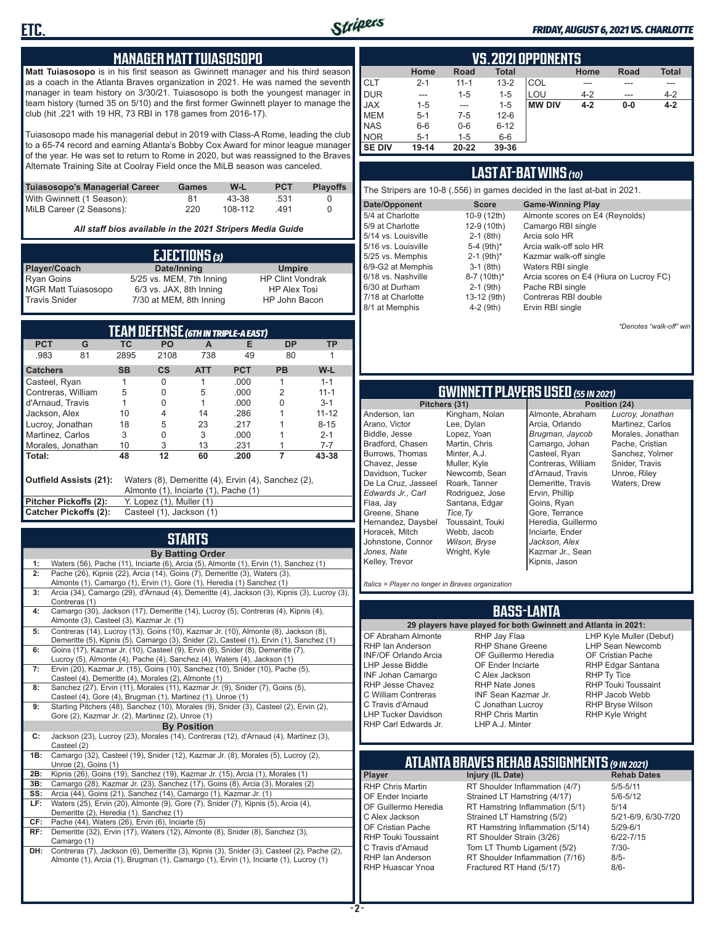

#### *FRIDAY, AUGUST 6, 2021 VS. CHARLOTTE*

#### **MANAGER MATT TUIASOSOPO**

**Matt Tuiasosopo** is in his first season as Gwinnett manager and his third season as a coach in the Atlanta Braves organization in 2021. He was named the seventh manager in team history on 3/30/21. Tuiasosopo is both the youngest manager in team history (turned 35 on 5/10) and the first former Gwinnett player to manage the club (hit .221 with 19 HR, 73 RBI in 178 games from 2016-17).

Tuiasosopo made his managerial debut in 2019 with Class-A Rome, leading the club to a 65-74 record and earning Atlanta's Bobby Cox Award for minor league manager of the year. He was set to return to Rome in 2020, but was reassigned to the Braves Alternate Training Site at Coolray Field once the MiLB season was canceled.

| Tuiasosopo's Managerial Career | Games | W-L     | <b>PCT</b> | <b>Plavoffs</b> |
|--------------------------------|-------|---------|------------|-----------------|
| With Gwinnett (1 Season):      | 81    | 43-38   | .531       |                 |
| MiLB Career (2 Seasons):       | 220   | 108-112 | 491        |                 |

*All staff bios available in the 2021 Stripers Media Guide*

|                            | EJECTIONS (3)            |                         |
|----------------------------|--------------------------|-------------------------|
| Player/Coach               | Date/Inning              | <b>Umpire</b>           |
| <b>Ryan Goins</b>          | 5/25 vs. MEM, 7th Inning | <b>HP Clint Vondrak</b> |
| <b>MGR Matt Tuiasosopo</b> | 6/3 vs. JAX, 8th Inning  | <b>HP Alex Tosi</b>     |
| Travis Snider              | 7/30 at MEM, 8th Inning  | HP John Bacon           |

|                       |                        |           |                                      |            | TEAM DEFENSE (6TH IN TRIPLE-A EAST)                |           |           |
|-----------------------|------------------------|-----------|--------------------------------------|------------|----------------------------------------------------|-----------|-----------|
| <b>PCT</b>            | G                      | ТC        | <b>PO</b>                            | A          | Е                                                  | <b>DP</b> | ΤP        |
| .983                  | 81                     | 2895      | 2108                                 | 738        | 49                                                 | 80        |           |
| <b>Catchers</b>       |                        | <b>SB</b> | CS                                   | <b>ATT</b> | <b>PCT</b>                                         | <b>PB</b> | W-L       |
| Casteel, Ryan         |                        |           | 0                                    |            | .000                                               |           | $1 - 1$   |
| Contreras, William    |                        | 5         | 0                                    | 5          | .000                                               | 2         | $11 - 1$  |
| d'Arnaud, Travis      |                        |           | U                                    |            | .000                                               |           | $3 - 1$   |
| Jackson, Alex         |                        | 10        | 4                                    | 14         | .286                                               |           | $11 - 12$ |
| Lucroy, Jonathan      |                        | 18        | 5                                    | 23         | .217                                               |           | $8 - 15$  |
| Martinez. Carlos      |                        | 3         | 0                                    | 3          | .000                                               |           | $2 - 1$   |
| Morales, Jonathan     |                        | 10        | 3                                    | 13         | .231                                               |           | $7 - 7$   |
| l Total:              |                        | 48        | 12                                   | 60         | .200                                               | 7         | 43-38     |
|                       | Outfield Assists (21): |           | Almonte (1), Inciarte (1), Pache (1) |            | Waters (8), Demeritte (4), Ervin (4), Sanchez (2), |           |           |
| Pitcher Pickoffs (2): |                        |           | Y. Lopez (1), Muller (1)             |            |                                                    |           |           |
| Catcher Pickoffs (2): |                        |           | Casteel (1), Jackson (1)             |            |                                                    |           |           |

## **STARTS**

|     | <b>By Batting Order</b>                                                                     |
|-----|---------------------------------------------------------------------------------------------|
| 1:  | Waters (56), Pache (11), Inciarte (6), Arcia (5), Almonte (1), Ervin (1), Sanchez (1)       |
| 2:  | Pache (26), Kipnis (22), Arcia (14), Goins (7), Demeritte (3), Waters (3),                  |
|     | Almonte (1), Camargo (1), Ervin (1), Gore (1), Heredia (1) Sanchez (1)                      |
| 3:  | Arcia (34), Camargo (29), d'Arnaud (4), Demeritte (4), Jackson (3), Kipnis (3), Lucroy (3), |
|     | Contreras (1)                                                                               |
| 4:  | Camargo (30), Jackson (17), Demeritte (14), Lucroy (5), Contreras (4), Kipnis (4),          |
|     | Almonte (3), Casteel (3), Kazmar Jr. (1)                                                    |
| 5:  | Contreras (14), Lucroy (13), Goins (10), Kazmar Jr. (10), Almonte (8), Jackson (8),         |
|     | Demeritte (5), Kipnis (5), Camargo (3), Snider (2), Casteel (1), Ervin (1), Sanchez (1)     |
| 6:  | Goins (17), Kazmar Jr. (10), Casteel (9), Ervin (8), Snider (8), Demeritte (7),             |
|     | Lucroy (5), Almonte (4), Pache (4), Sanchez (4), Waters (4), Jackson (1)                    |
| 7:  | Ervin (20), Kazmar Jr. (15), Goins (10), Sanchez (10), Snider (10), Pache (5),              |
|     | Casteel (4), Demeritte (4), Morales (2), Almonte (1)                                        |
| 8:  | Sanchez (27), Ervin (11), Morales (11), Kazmar Jr. (9), Snider (7), Goins (5),              |
|     | Casteel (4), Gore (4), Brugman (1), Martinez (1), Unroe (1)                                 |
| 9:  | Starting Pitchers (48), Sanchez (10), Morales (9), Snider (3), Casteel (2), Ervin (2),      |
|     | Gore (2), Kazmar Jr. (2), Martinez (2), Unroe (1)                                           |
|     | <b>By Position</b>                                                                          |
| C:  | Jackson (23), Lucroy (23), Morales (14), Contreras (12), d'Arnaud (4), Martinez (3),        |
|     | Casteel (2)                                                                                 |
| 1B: | Camargo (32), Casteel (19), Snider (12), Kazmar Jr. (8), Morales (5), Lucroy (2),           |
|     | Unroe (2), Goins (1)                                                                        |
| 2B: | Kipnis (26), Goins (19), Sanchez (19), Kazmar Jr. (15), Arcia (1), Morales (1)              |
| 3B: | Camargo (28), Kazmar Jr. (23), Sanchez (17), Goins (8), Arcia (3), Morales (2)              |
| SS: | Arcia (44), Goins (21), Sanchez (14), Camargo (1), Kazmar Jr. (1)                           |
| LF: | Waters (25), Ervin (20), Almonte (9), Gore (7), Snider (7), Kipnis (5), Arcia (4),          |
|     | Demeritte (2), Heredia (1), Sanchez (1)                                                     |
| CF: | Pache (44), Waters (26), Ervin (6), Inciarte (5)                                            |
| RF: | Demeritte (32), Ervin (17), Waters (12), Almonte (8), Snider (8), Sanchez (3),              |
|     | Camargo (1)                                                                                 |
| DH: | Contreras (7), Jackson (6), Demeritte (3), Kipnis (3), Snider (3), Casteel (2), Pache (2),  |
|     | Almonte (1), Arcia (1), Brugman (1), Camargo (1), Ervin (1), Inciarte (1), Lucroy (1)       |
|     |                                                                                             |
|     |                                                                                             |

|               | VS. 2021 OPPONENTS |           |              |               |         |             |              |  |  |  |  |  |  |  |
|---------------|--------------------|-----------|--------------|---------------|---------|-------------|--------------|--|--|--|--|--|--|--|
|               | Home               | Road      | <b>Total</b> |               | Home    | <b>Road</b> | <b>Total</b> |  |  |  |  |  |  |  |
| <b>I</b> CLT  | $2 - 1$            | $11 - 1$  | $13 - 2$     | COL           |         |             | ---          |  |  |  |  |  |  |  |
| DUR           | ---                | $1 - 5$   | $1 - 5$      | LOU           | $4 - 2$ | ---         | $4 - 2$      |  |  |  |  |  |  |  |
| <b>JAX</b>    | $1 - 5$            | ---       | $1 - 5$      | <b>MW DIV</b> | $4 - 2$ | $0-0$       | $4 - 2$      |  |  |  |  |  |  |  |
| <b>IMEM</b>   | $5 - 1$            | 7-5       | $12 - 6$     |               |         |             |              |  |  |  |  |  |  |  |
| <b>INAS</b>   | $6-6$              | $0-6$     | $6 - 12$     |               |         |             |              |  |  |  |  |  |  |  |
| <b>NOR</b>    | $5 - 1$            | $1 - 5$   | $6-6$        |               |         |             |              |  |  |  |  |  |  |  |
| <b>SE DIV</b> | $19 - 14$          | $20 - 22$ | 39-36        |               |         |             |              |  |  |  |  |  |  |  |

#### **LAST AT-BAT WINS** *(10)*

| The Stripers are 10-8 (.556) in games decided in the last at-bat in 2021. |                          |                                         |  |  |  |  |  |  |  |  |
|---------------------------------------------------------------------------|--------------------------|-----------------------------------------|--|--|--|--|--|--|--|--|
| Date/Opponent                                                             | <b>Score</b>             | <b>Game-Winning Play</b>                |  |  |  |  |  |  |  |  |
| 5/4 at Charlotte                                                          | 10-9 (12th)              | Almonte scores on E4 (Reynolds)         |  |  |  |  |  |  |  |  |
| 5/9 at Charlotte                                                          | 12-9 (10th)              | Camargo RBI single                      |  |  |  |  |  |  |  |  |
| 5/14 vs. Louisville                                                       | $2-1$ (8th)              | Arcia solo HR                           |  |  |  |  |  |  |  |  |
| 5/16 vs. Louisville                                                       | 5-4 $(9th)*$             | Arcia walk-off solo HR                  |  |  |  |  |  |  |  |  |
| 5/25 vs. Memphis                                                          | $2-1$ (9th) <sup>*</sup> | Kazmar walk-off single                  |  |  |  |  |  |  |  |  |
| 6/9-G2 at Memphis                                                         | $3-1$ (8th)              | Waters RBI single                       |  |  |  |  |  |  |  |  |
| 6/18 vs. Nashville                                                        | 8-7 (10th)*              | Arcia scores on E4 (Hiura on Lucroy FC) |  |  |  |  |  |  |  |  |
| 6/30 at Durham                                                            | $2-1$ (9th)              | Pache RBI single                        |  |  |  |  |  |  |  |  |
| 7/18 at Charlotte                                                         | 13-12 (9th)              | Contreras RBI double                    |  |  |  |  |  |  |  |  |
| 8/1 at Memphis                                                            | $4-2$ (9th)              | Ervin RBI single                        |  |  |  |  |  |  |  |  |

*\*Denotes "walk-off" win*

## **GWINNETT PLAYERS USED** *(55 IN 2021)*

**Pitchers (31)** Anderson, Ian Arano, Victor Biddle, Jesse Bradford, Chasen Burrows, Thomas Chavez, Jesse Davidson, Tucker De La Cruz, Jasseel *Edwards Jr., Carl* Flaa, Jay Greene, Shane Hernandez, Daysbel Horacek, Mitch Johnstone, Connor *Jones, Nate* Kelley, Trevor Kingham, Nolan Lee, Dylan Lopez, Yoan Martin, Chris Minter, A.J. Muller, Kyle Roark, Tanner Rodriguez, Jose Santana, Edgar *Tice,Ty* Toussaint, Touki Webb, Jacob *Wilson, Bryse* Wright, Kyle

Newcomb, Sean Almonte, Abraham Arcia, Orlando *Brugman, Jaycob* Camargo, Johan Casteel, Ryan Contreras, William d'Arnaud, Travis Demeritte, Travis Ervin, Phillip Goins, Ryan Gore, Terrance Heredia, Guillermo Inciarte, Ender *Jackson, Alex* Kazmar Jr., Sean Kipnis, Jason

*Lucroy, Jonathan* Martinez, Carlos Morales, Jonathan Pache, Cristian Sanchez, Yolmer Snider, Travis Unroe, Riley Waters, Drew

*Italics = Player no longer in Braves organization*

#### **BASS-LANTA**

OF Abraham Almonte RHP Ian Anderson INF/OF Orlando Arcia LHP Jesse Biddle INF Johan Camargo RHP Jesse Chavez C William Contreras C Travis d'Arnaud LHP Tucker Davidson RHP Carl Edwards Jr.

**29 players have played for both Gwinnett and Atlanta in 2021:** RHP Jay Flaa RHP Shane Greene OF Guillermo Heredia OF Ender Inciarte C Alex Jackson RHP Nate Jones INF Sean Kazmar Jr. C Jonathan Lucroy RHP Chris Martin LHP A.J. Minter

LHP Kyle Muller (Debut) LHP Sean Newcomb OF Cristian Pache RHP Edgar Santana RHP Ty Tice RHP Touki Toussaint RHP Jacob Webb RHP Bryse Wilson RHP Kyle Wright

## **ATLANTA BRAVES REHAB ASSIGNMENTS** *(9 IN 2021)*

**Player Injury (IL Date)** 

RHP Chris Martin RT Shoulder Inflammation (4/7) 5/5-5/11<br>CF Ender Inciarte Strained I T Hamstring (4/17) 5/6-5/12 OF Ender Inciarte Strained LT Hamstring (4/17) 5/6-5<br>OF Guillermo Heredia RT Hamstring Inflammation (5/1) 5/14 OF Guillermo Heredia RT Hamstring Inflammation (5/1) 5/14<br>C Alex Jackson Strained LT Hamstring (5/2) 5/21-6/9, 6/30-7/20 C Alex Jackson Strained LT Hamstring (5/2) 5/21-6/9<br>CF Cristian Pache RT Hamstring Inflammation (5/14) 5/29-6/1 OF Cristian Pache RT Hamstring Inflammation (5/14)<br>RHP Touki Toussaint RT Shoulder Strain (3/26) RHP Touki Toussaint RT Shoulder Strain (3/26) 6/22-7/15<br>C Travis d'Arnaud Torn LT Thumb Ligament (5/2) 7/30-C Travis d'Arnaud Torn LT Thumb Ligament (5/2) 7/30<br>RHP Ian Anderson RT Shoulder Inflammation (7/16) 8/5-RHP Ian Anderson RT Shoulder Inflammation (7/16)<br>RHP Huascar Ynoa Fractured RT Hand (5/17) Fractured RT Hand (5/17) 8/6-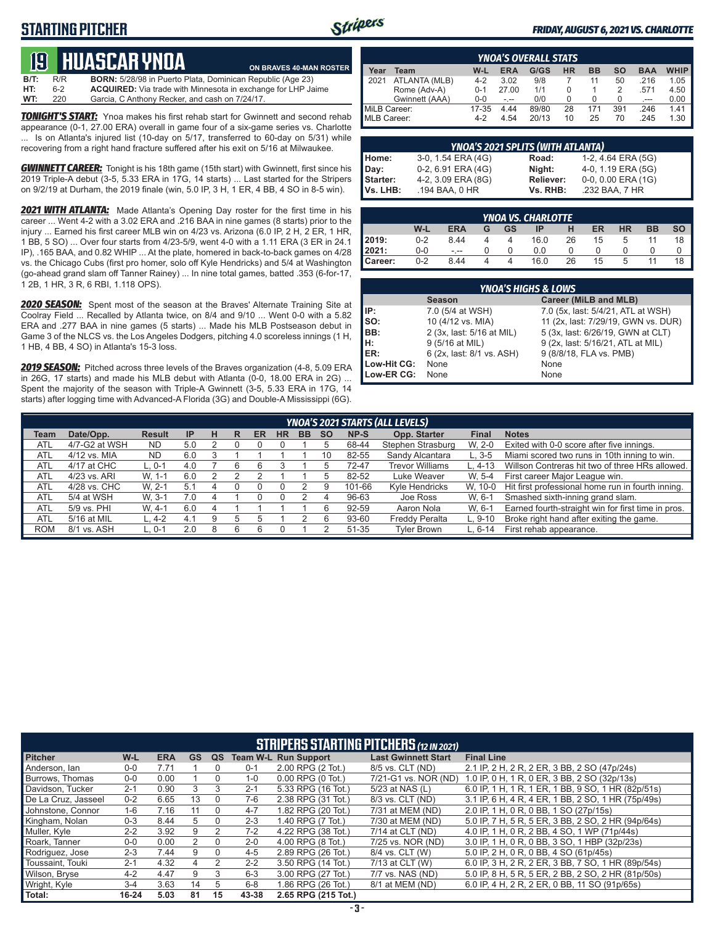### **STARTING PITCHER**



**ON BRAVES 40-MAN ROSTER**

#### *FRIDAY, AUGUST 6, 2021 VS. CHARLOTTE*

## **19****huascar ynoa**

**B/T:** R/R **BORN:** 5/28/98 in Puerto Plata, Dominican Republic (Age 23)<br>**HT:** 6-2 **ACQUIRED:** Via trade with Minnesota in exchange for LHP Ja 6-2 **ACQUIRED:** Via trade with Minnesota in exchange for LHP Jaime<br>220 Garcia, C Anthony Recker, and cash on 7/24/17. **WT:** 220 Garcia, C Anthony Recker, and cash on 7/24/17.

*TONIGHT'S START:* Ynoa makes his first rehab start for Gwinnett and second rehab appearance (0-1, 27.00 ERA) overall in game four of a six-game series vs. Charlotte ... Is on Atlanta's injured list (10-day on 5/17, transferred to 60-day on 5/31) while recovering from a right hand fracture suffered after his exit on 5/16 at Milwaukee.

**GWINNETT CAREER:** Tonight is his 18th game (15th start) with Gwinnett, first since his 2019 Triple-A debut (3-5, 5.33 ERA in 17G, 14 starts) ... Last started for the Stripers on 9/2/19 at Durham, the 2019 finale (win, 5.0 IP, 3 H, 1 ER, 4 BB, 4 SO in 8-5 win).

*2021 WITH ATLANTA:* Made Atlanta's Opening Day roster for the first time in his career ... Went 4-2 with a 3.02 ERA and .216 BAA in nine games (8 starts) prior to the injury ... Earned his first career MLB win on 4/23 vs. Arizona (6.0 IP, 2 H, 2 ER, 1 HR, 1 BB, 5 SO) ... Over four starts from 4/23-5/9, went 4-0 with a 1.11 ERA (3 ER in 24.1 IP), .165 BAA, and 0.82 WHIP ... At the plate, homered in back-to-back games on 4/28 vs. the Chicago Cubs (first pro homer, solo off Kyle Hendricks) and 5/4 at Washington (go-ahead grand slam off Tanner Rainey) ... In nine total games, batted .353 (6-for-17, 1 2B, 1 HR, 3 R, 6 RBI, 1.118 OPS).

*2020 SEASON:* Spent most of the season at the Braves' Alternate Training Site at Coolray Field ... Recalled by Atlanta twice, on 8/4 and 9/10 ... Went 0-0 with a 5.82 ERA and .277 BAA in nine games (5 starts) ... Made his MLB Postseason debut in Game 3 of the NLCS vs. the Los Angeles Dodgers, pitching 4.0 scoreless innings (1 H, 1 HB, 4 BB, 4 SO) in Atlanta's 15-3 loss.

*2019 SEASON:* Pitched across three levels of the Braves organization (4-8, 5.09 ERA in 26G, 17 starts) and made his MLB debut with Atlanta (0-0, 18.00 ERA in 2G) ... Spent the majority of the season with Triple-A Gwinnett (3-5, 5.33 ERA in 17G, 14 starts) after logging time with Advanced-A Florida (3G) and Double-A Mississippi (6G).

|              | <b>YNOA'S OVERALL STATS</b> |         |            |       |    |           |     |            |             |  |  |  |  |  |
|--------------|-----------------------------|---------|------------|-------|----|-----------|-----|------------|-------------|--|--|--|--|--|
| Year         | Team                        | W-L     | <b>ERA</b> | G/GS  | HR | <b>BB</b> | so  | <b>BAA</b> | <b>WHIP</b> |  |  |  |  |  |
| 2021         | ATLANTA (MLB)               | $4 - 2$ | 3.02       | 9/8   |    | 11        | 50  | .216       | 1.05        |  |  |  |  |  |
| Rome (Adv-A) |                             | $0 - 1$ | 27.00      | 1/1   | 0  |           | 2   | .571       | 4.50        |  |  |  |  |  |
|              | Gwinnett (AAA)              | 0-0     | $-1 - 1$   | 0/0   |    | U         | U   | .---       | 0.00        |  |  |  |  |  |
| MiLB Career: |                             | 17-35   | 4.44       | 89/80 | 28 | 171       | 391 | .246       | 1.41        |  |  |  |  |  |
| MLB Career:  |                             | $4-2$   | 4.54       | 20/13 | 10 | 25        | 70  | .245       | 1.30        |  |  |  |  |  |

|          | <b>YNOA'S 2021 SPLITS (WITH ATLANTA)</b> |                  |                    |  |  |  |  |  |  |  |  |
|----------|------------------------------------------|------------------|--------------------|--|--|--|--|--|--|--|--|
| Home:    | 3-0, 1.54 ERA (4G)                       | Road:            | 1-2, 4.64 ERA (5G) |  |  |  |  |  |  |  |  |
| Day:     | 0-2, 6.91 ERA (4G)                       | Night:           | 4-0, 1.19 ERA (5G) |  |  |  |  |  |  |  |  |
| Starter: | 4-2, 3.09 ERA (8G)                       | <b>Reliever:</b> | 0-0, 0.00 ERA (1G) |  |  |  |  |  |  |  |  |
| Vs. LHB: | .194 BAA, 0 HR                           | Vs. RHB:         | .232 BAA, 7 HR     |  |  |  |  |  |  |  |  |

|                  | <b>YNOA VS. CHARLOTTE</b> |            |   |    |      |    |    |           |    |    |  |  |  |  |
|------------------|---------------------------|------------|---|----|------|----|----|-----------|----|----|--|--|--|--|
|                  | W-L                       | <b>ERA</b> | G | GS | IP   |    | ER | <b>HR</b> | вв | SO |  |  |  |  |
| 2019:            | $0 - 2$                   | 8.44       |   |    | 16.0 | 26 | 15 |           |    |    |  |  |  |  |
| 12021:           | $0 - 0$                   | - --       |   |    | 0.0  |    |    |           |    |    |  |  |  |  |
| <b>I</b> Career: | $0 - 2$                   | 8.44       |   |    | 16.0 | 26 | 15 |           |    |    |  |  |  |  |

|             | <b>YNOA'S HIGHS &amp; LOWS</b> |                                     |  |  |  |  |  |  |  |  |  |  |
|-------------|--------------------------------|-------------------------------------|--|--|--|--|--|--|--|--|--|--|
|             | <b>Season</b>                  | Career (MiLB and MLB)               |  |  |  |  |  |  |  |  |  |  |
| IIP:        | 7.0 (5/4 at WSH)               | 7.0 (5x, last: 5/4/21, ATL at WSH)  |  |  |  |  |  |  |  |  |  |  |
| so:         | 10 (4/12 vs. MIA)              | 11 (2x, last: 7/29/19, GWN vs. DUR) |  |  |  |  |  |  |  |  |  |  |
| BB:         | 2 (3x, last: 5/16 at MIL)      | 5 (3x, last: 6/26/19, GWN at CLT)   |  |  |  |  |  |  |  |  |  |  |
| Iн:         | 9 (5/16 at MIL)                | 9 (2x, last: 5/16/21, ATL at MIL)   |  |  |  |  |  |  |  |  |  |  |
| ER:         | 6 (2x, last: 8/1 vs. ASH)      | 9 (8/8/18, FLA vs. PMB)             |  |  |  |  |  |  |  |  |  |  |
| Low-Hit CG: | None                           | None                                |  |  |  |  |  |  |  |  |  |  |
| Low-ER CG:  | None                           | None                                |  |  |  |  |  |  |  |  |  |  |

| Team       | Date/Opp.     | <b>Result</b> | <b>IP</b> | н | R  | ER | <b>HR</b> | <b>BB</b> | <b>SO</b> | <b>NP-S</b> | Opp. Starter           | <b>Final</b> | <b>Notes</b>                                       |
|------------|---------------|---------------|-----------|---|----|----|-----------|-----------|-----------|-------------|------------------------|--------------|----------------------------------------------------|
| <b>ATL</b> | 4/7-G2 at WSH | <b>ND</b>     | 5.0       |   |    |    |           |           |           | 68-44       | Stephen Strasburg      | W. 2-0       | Exited with 0-0 score after five innings.          |
| <b>ATL</b> | 4/12 vs. MIA  | <b>ND</b>     | 6.0       |   |    |    |           |           | 10        | 82-55       | Sandy Alcantara        | $L.3 - 5$    | Miami scored two runs in 10th inning to win.       |
| <b>ATL</b> | 4/17 at CHC   | L. 0-1        | 4.0       |   |    |    |           |           |           | 72-47       | <b>Trevor Williams</b> | L. 4-13      | Willson Contreras hit two of three HRs allowed.    |
| <b>ATL</b> | 4/23 vs. ARI  | W. 1-1        | 6.0       |   |    |    |           |           | b         | 82-52       | Luke Weaver            | W. 5-4       | First career Major League win.                     |
| <b>ATL</b> | 4/28 vs. CHC  | W. 2-1        | 5.1       |   |    |    |           |           |           | 101-66      | Kyle Hendricks         | W. 10-0      | Hit first professional home run in fourth inning.  |
| <b>ATL</b> | 5/4 at WSH    | W. 3-1        | 7.0       | 4 |    |    |           |           |           | 96-63       | Joe Ross               | W. 6-1       | Smashed sixth-inning grand slam.                   |
| <b>ATL</b> | 5/9 vs. PHI   | W. 4-1        | 6.0       | 4 |    |    |           |           | 6         | 92-59       | Aaron Nola             | W. 6-1       | Earned fourth-straight win for first time in pros. |
| <b>ATL</b> | 5/16 at MIL   | $L.4-2$       | 4.1       | 9 |    |    |           |           | 6         | 93-60       | <b>Freddy Peralta</b>  | $L.9-10$     | Broke right hand after exiting the game.           |
| <b>ROM</b> | 8/1 vs. ASH   | L. 0-1        | 2.0       | 8 | ิค |    |           |           |           | 51-35       | <b>Tvler Brown</b>     | L. 6-14      | First rehab appearance.                            |

| <b>STRIPERS STARTING PITCHERS (12 IN 2021)</b> |           |            |    |          |         |                             |                            |                                                    |  |  |  |
|------------------------------------------------|-----------|------------|----|----------|---------|-----------------------------|----------------------------|----------------------------------------------------|--|--|--|
| <b>Pitcher</b>                                 | W-L       | <b>ERA</b> | GS | QS       |         | <b>Team W-L Run Support</b> | <b>Last Gwinnett Start</b> | <b>Final Line</b>                                  |  |  |  |
| Anderson, Ian                                  | $0-0$     | 7.71       |    |          | $0 - 1$ | 2.00 RPG (2 Tot.)           | 8/5 vs. CLT (ND)           | 2.1 IP, 2 H, 2 R, 2 ER, 3 BB, 2 SO (47p/24s)       |  |  |  |
| Burrows. Thomas                                | $0 - 0$   | 0.00       |    | 0        | $1-0$   | $0.00$ RPG $(0$ Tot.)       | 7/21-G1 vs. NOR (ND)       | 1.0 IP, 0 H, 1 R, 0 ER, 3 BB, 2 SO (32p/13s)       |  |  |  |
| Davidson. Tucker                               | $2 - 1$   | 0.90       |    | 3        | $2 - 1$ | 5.33 RPG (16 Tot.)          | 5/23 at NAS (L)            | 6.0 IP, 1 H, 1 R, 1 ER, 1 BB, 9 SO, 1 HR (82p/51s) |  |  |  |
| De La Cruz, Jasseel                            | $0 - 2$   | 6.65       | 13 | $\Omega$ | 7-6     | 2.38 RPG (31 Tot.)          | 8/3 vs. CLT (ND)           | 3.1 IP, 6 H, 4 R, 4 ER, 1 BB, 2 SO, 1 HR (75p/49s) |  |  |  |
| Johnstone, Connor                              | $1 - 6$   | 7.16       | 11 | $\Omega$ | $4 - 7$ | 1.82 RPG (20 Tot.)          | 7/31 at MEM (ND)           | 2.0 IP, 1 H, 0 R, 0 BB, 1 SO (27p/15s)             |  |  |  |
| Kingham, Nolan                                 | $0 - 3$   | 8.44       | 5. | 0        | $2 - 3$ | 1.40 RPG (7 Tot.)           | 7/30 at MEM (ND)           | 5.0 IP, 7 H, 5 R, 5 ER, 3 BB, 2 SO, 2 HR (94p/64s) |  |  |  |
| Muller, Kyle                                   | $2 - 2$   | 3.92       | 9  | 2        | $7-2$   | 4.22 RPG (38 Tot.)          | 7/14 at CLT (ND)           | 4.0 IP, 1 H, 0 R, 2 BB, 4 SO, 1 WP (71p/44s)       |  |  |  |
| Roark, Tanner                                  | $0 - 0$   | 0.00       | 2  | $\Omega$ | $2 - 0$ | 4.00 RPG (8 Tot.)           | 7/25 vs. NOR (ND)          | 3.0 IP, 1 H, 0 R, 0 BB, 3 SO, 1 HBP (32p/23s)      |  |  |  |
| Rodriguez, Jose                                | $2 - 3$   | 7.44       | 9  | $\Omega$ | 4-5     | 2.89 RPG (26 Tot.)          | 8/4 vs. CLT (W)            | 5.0 IP, 2 H, 0 R, 0 BB, 4 SO (61p/45s)             |  |  |  |
| Toussaint. Touki                               | $2 - 1$   | 4.32       | 4  |          | $2 - 2$ | 3.50 RPG (14 Tot.)          | 7/13 at CLT (W)            | 6.0 IP, 3 H, 2 R, 2 ER, 3 BB, 7 SO, 1 HR (89p/54s) |  |  |  |
| Wilson, Bryse                                  | $4 - 2$   | 4.47       | 9  | 3        | $6 - 3$ | 3.00 RPG (27 Tot.)          | 7/7 vs. NAS (ND)           | 5.0 IP, 8 H, 5 R, 5 ER, 2 BB, 2 SO, 2 HR (81p/50s) |  |  |  |
| Wright, Kyle                                   | $3-4$     | 3.63       | 14 | 5        | $6 - 8$ | 1.86 RPG (26 Tot.)          | 8/1 at MEM (ND)            | 6.0 IP, 4 H, 2 R, 2 ER, 0 BB, 11 SO (91p/65s)      |  |  |  |
| Total:                                         | $16 - 24$ | 5.03       | 81 | 15       | 43-38   | 2.65 RPG (215 Tot.)         |                            |                                                    |  |  |  |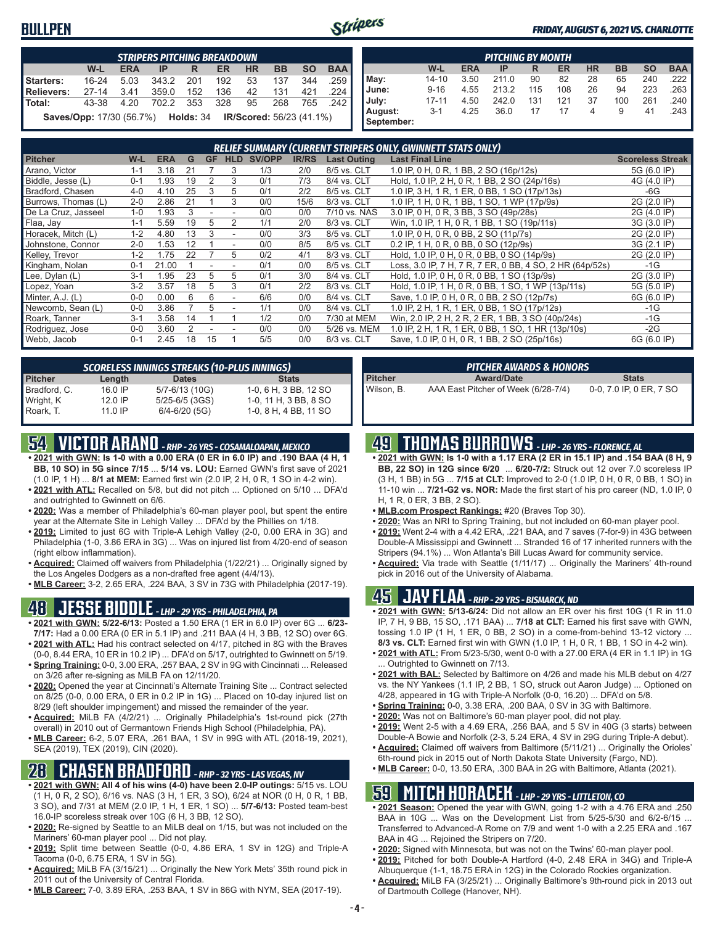### **BULLPEN**



#### *FRIDAY, AUGUST 6, 2021 VS. CHARLOTTE*

|                   | <b>STRIPERS PITCHING BREAKDOWN</b>                                                  |            |       |       |     |           |           |           |            |  |  |  |  |
|-------------------|-------------------------------------------------------------------------------------|------------|-------|-------|-----|-----------|-----------|-----------|------------|--|--|--|--|
|                   | $W-L$                                                                               | <b>ERA</b> | IP    | R     | ER  | <b>HR</b> | <b>BB</b> | <b>SO</b> | <b>BAA</b> |  |  |  |  |
| Starters:         | $16 - 24$                                                                           | 5.03       | 343.2 | - 201 | 192 | 53        | 137       | 344       | .259       |  |  |  |  |
| <b>Relievers:</b> | $27 - 14$                                                                           | 3.41       | 359.0 | 152   | 136 | 42        | 131       | 421       | .224       |  |  |  |  |
| Total:            | 43-38                                                                               | 4.20       | 702.2 | - 353 | 328 | 95        | 268       | 765       | 242        |  |  |  |  |
|                   | <b>IR/Scored:</b> 56/23 (41.1%)<br><b>Saves/Opp:</b> 17/30 (56.7%) <b>Holds:</b> 34 |            |       |       |     |           |           |           |            |  |  |  |  |

|            | <b>PITCHING BY MONTH</b>                                                                |      |       |     |     |    |     |     |      |  |  |  |  |  |  |
|------------|-----------------------------------------------------------------------------------------|------|-------|-----|-----|----|-----|-----|------|--|--|--|--|--|--|
|            | <b>BAA</b><br><b>HR</b><br>W-L<br><b>BB</b><br><b>SO</b><br><b>ERA</b><br>ER<br>IP<br>R |      |       |     |     |    |     |     |      |  |  |  |  |  |  |
| May:       | 14-10                                                                                   | 3.50 | 211.0 | 90  | 82  | 28 | 65  | 240 | .222 |  |  |  |  |  |  |
| June:      | $9 - 16$                                                                                | 4.55 | 213.2 | 115 | 108 | 26 | 94  | 223 | .263 |  |  |  |  |  |  |
| July:      | $17 - 11$                                                                               | 4.50 | 242.0 | 131 | 121 | 37 | 100 | 261 | .240 |  |  |  |  |  |  |
| August:    | $3 - 1$                                                                                 | 4.25 | 36.0  | 17  | 17  | 4  | 9   | 41  | .243 |  |  |  |  |  |  |
| September: |                                                                                         |      |       |     |     |    |     |     |      |  |  |  |  |  |  |

| <b>RELIEF SUMMARY (CURRENT STRIPERS ONLY, GWINNETT STATS ONLY)</b> |         |            |    |           |                          |        |              |                    |                                                          |                         |
|--------------------------------------------------------------------|---------|------------|----|-----------|--------------------------|--------|--------------|--------------------|----------------------------------------------------------|-------------------------|
| <b>Pitcher</b>                                                     | W-L     | <b>ERA</b> | G  | <b>GF</b> | HLD                      | SV/OPP | <b>IR/RS</b> | <b>Last Outing</b> | <b>Last Final Line</b>                                   | <b>Scoreless Streak</b> |
| Arano, Victor                                                      | 1-1     | 3.18       | 21 |           | 3                        | 1/3    | 2/0          | 8/5 vs. CLT        | 1.0 IP, 0 H, 0 R, 1 BB, 2 SO (16p/12s)                   | 5G (6.0 IP)             |
| Biddle, Jesse (L)                                                  | $0 - 1$ | 1.93       | 19 |           | 3                        | 0/1    | 7/3          | 8/4 vs. CLT        | Hold, 1.0 IP, 2 H, 0 R, 1 BB, 2 SO (24p/16s)             | 4G (4.0 IP)             |
| Bradford, Chasen                                                   | $4 - 0$ | 4.10       | 25 | 3         | 5                        | 0/1    | 2/2          | 8/5 vs. CLT        | 1.0 IP, 3 H, 1 R, 1 ER, 0 BB, 1 SO (17p/13s)             | $-6G$                   |
| Burrows, Thomas (L)                                                | $2 - 0$ | 2.86       | 21 |           | 3                        | 0/0    | 15/6         | 8/3 vs. CLT        | 1.0 IP, 1 H, 0 R, 1 BB, 1 SO, 1 WP (17p/9s)              | 2G (2.0 IP)             |
| De La Cruz, Jasseel                                                | $1 - 0$ | 1.93       | 3  |           |                          | 0/0    | 0/0          | 7/10 vs. NAS       | 3.0 IP, 0 H, 0 R, 3 BB, 3 SO (49p/28s)                   | 2G (4.0 IP)             |
| Flaa, Jay                                                          | $1 - 1$ | 5.59       | 19 | 5         |                          | 1/1    | 2/0          | 8/3 vs. CLT        | Win, 1.0 IP, 1 H, 0 R, 1 BB, 1 SO (19p/11s)              | 3G (3.0 IP)             |
| Horacek, Mitch (L)                                                 | $1 - 2$ | 4.80       | 13 | 3         | ۰                        | 0/0    | 3/3          | 8/5 vs. CLT        | 1.0 IP, 0 H, 0 R, 0 BB, 2 SO (11p/7s)                    | 2G (2.0 IP)             |
| Johnstone, Connor                                                  | $2 - 0$ | .53        | 12 |           | $\overline{\phantom{a}}$ | 0/0    | 8/5          | 8/5 vs. CLT        | 0.2 IP, 1 H, 0 R, 0 BB, 0 SO (12p/9s)                    | 3G (2.1 IP)             |
| Kelley, Trevor                                                     | $1 - 2$ | .75        | 22 |           | 5                        | 0/2    | 4/1          | 8/3 vs. CLT        | Hold, 1.0 IP, 0 H, 0 R, 0 BB, 0 SO (14p/9s)              | 2G (2.0 IP)             |
| Kingham, Nolan                                                     | $0 - 1$ | 21.00      |    |           |                          | 0/1    | 0/0          | 8/5 vs. CLT        | Loss, 3.0 IP, 7 H, 7 R, 7 ER, 0 BB, 4 SO, 2 HR (64p/52s) | $-1G$                   |
| Lee, Dylan (L)                                                     | $3-1$   | .95        | 23 | 5.        | 5                        | 0/1    | 3/0          | 8/4 vs. CLT        | Hold, 1.0 IP, 0 H, 0 R, 0 BB, 1 SO (13p/9s)              | 2G (3.0 IP)             |
| Lopez, Yoan                                                        | $3-2$   | 3.57       | 18 | 5         | 3                        | 0/1    | 2/2          | 8/3 vs. CLT        | Hold, 1.0 IP, 1 H, 0 R, 0 BB, 1 SO, 1 WP (13p/11s)       | 5G (5.0 IP)             |
| Minter, A.J. (L)                                                   | $0 - 0$ | 0.00       | 6  | 6         | $\blacksquare$           | 6/6    | 0/0          | 8/4 vs. CLT        | Save, 1.0 IP, 0 H, 0 R, 0 BB, 2 SO (12p/7s)              | 6G (6.0 IP)             |
| Newcomb, Sean (L)                                                  | $0 - 0$ | 3.86       |    | 5         | $\blacksquare$           | 1/1    | 0/0          | 8/4 vs. CLT        | 1.0 IP, 2 H, 1 R, 1 ER, 0 BB, 1 SO (17p/12s)             | $-1G$                   |
| Roark, Tanner                                                      | $3 - 1$ | 3.58       | 14 |           |                          | 1/2    | 0/0          | 7/30 at MEM        | Win, 2.0 IP, 2 H, 2 R, 2 ER, 1 BB, 3 SO (40p/24s)        | $-1G$                   |
| Rodriguez, Jose                                                    | $0 - 0$ | 3.60       |    |           |                          | 0/0    | 0/0          | 5/26 vs. MEM       | 1.0 IP, 2 H, 1 R, 1 ER, 0 BB, 1 SO, 1 HR (13p/10s)       | $-2G$                   |
| Webb, Jacob                                                        | $0 - 1$ | 2.45       | 18 | 15        |                          | 5/5    | 0/0          | 8/3 vs. CLT        | Save, 1.0 IP, 0 H, 0 R, 1 BB, 2 SO (25p/16s)             | 6G (6.0 IP)             |

| <b>SCORELESS INNINGS STREAKS (10-PLUS INNINGS)</b> |           |                    |                       |  |  |  |  |  |
|----------------------------------------------------|-----------|--------------------|-----------------------|--|--|--|--|--|
| <b>Pitcher</b>                                     | Length    | <b>Dates</b>       | <b>Stats</b>          |  |  |  |  |  |
| Bradford, C.                                       | 16.0 IP   | 5/7-6/13 (10G)     | 1-0, 6 H, 3 BB, 12 SO |  |  |  |  |  |
| Wright, K                                          | 120IP     | $5/25 - 6/5$ (3GS) | 1-0, 11 H, 3 BB, 8 SO |  |  |  |  |  |
| Roark, T.                                          | $11.0$ IP | $6/4 - 6/20$ (5G)  | 1-0, 8 H, 4 BB, 11 SO |  |  |  |  |  |

## **54 VICTOR ARANO** *- RHP - 26 YRS - COSAMALOAPAN, MEXICO*

- **• 2021 with GWN: Is 1-0 with a 0.00 ERA (0 ER in 6.0 IP) and .190 BAA (4 H, 1 BB, 10 SO) in 5G since 7/15** ... **5/14 vs. LOU:** Earned GWN's first save of 2021
- (1.0 IP, 1 H) ... **8/1 at MEM:** Earned first win (2.0 IP, 2 H, 0 R, 1 SO in 4-2 win). **• 2021 with ATL:** Recalled on 5/8, but did not pitch ... Optioned on 5/10 ... DFA'd and outrighted to Gwinnett on 6/6.
- **• 2020:** Was a member of Philadelphia's 60-man player pool, but spent the entire year at the Alternate Site in Lehigh Valley ... DFA'd by the Phillies on 1/18.
- **• 2019:** Limited to just 6G with Triple-A Lehigh Valley (2-0, 0.00 ERA in 3G) and Philadelphia (1-0, 3.86 ERA in 3G) ... Was on injured list from 4/20-end of season (right elbow inflammation).
- **• Acquired:** Claimed off waivers from Philadelphia (1/22/21) ... Originally signed by the Los Angeles Dodgers as a non-drafted free agent (4/4/13).
- **• MLB Career:** 3-2, 2.65 ERA, .224 BAA, 3 SV in 73G with Philadelphia (2017-19).

## **48 JESSE BIDDLE** *- LHP - 29 YRS - PHILADELPHIA, PA*

- **• 2021 with GWN: 5/22-6/13:** Posted a 1.50 ERA (1 ER in 6.0 IP) over 6G ... **6/23- 7/17:** Had a 0.00 ERA (0 ER in 5.1 IP) and .211 BAA (4 H, 3 BB, 12 SO) over 6G.
- **• 2021 with ATL:** Had his contract selected on 4/17, pitched in 8G with the Braves (0-0, 8.44 ERA, 10 ER in 10.2 IP) ... DFA'd on 5/17, outrighted to Gwinnett on 5/19.
- **• Spring Training:** 0-0, 3.00 ERA, .257 BAA, 2 SV in 9G with Cincinnati ... Released on 3/26 after re-signing as MiLB FA on 12/11/20.
- **• 2020:** Opened the year at Cincinnati's Alternate Training Site ... Contract selected on 8/25 (0-0, 0.00 ERA, 0 ER in 0.2 IP in 1G) ... Placed on 10-day injured list on 8/29 (left shoulder impingement) and missed the remainder of the year.
- **• Acquired:** MiLB FA (4/2/21) ... Originally Philadelphia's 1st-round pick (27th overall) in 2010 out of Germantown Friends High School (Philadelphia, PA).
- **• MLB Career:** 6-2, 5.07 ERA, .261 BAA, 1 SV in 99G with ATL (2018-19, 2021), SEA (2019), TEX (2019), CIN (2020).

### **28 CHASEN BRADFORD** *- RHP - 32 YRS - LAS VEGAS, NV*

- **• 2021 with GWN: All 4 of his wins (4-0) have been 2.0-IP outings:** 5/15 vs. LOU (1 H, 0 R, 2 SO), 6/16 vs. NAS (3 H, 1 ER, 3 SO), 6/24 at NOR (0 H, 0 R, 1 BB, 3 SO), and 7/31 at MEM (2.0 IP, 1 H, 1 ER, 1 SO) ... **5/7-6/13:** Posted team-best 16.0-IP scoreless streak over 10G (6 H, 3 BB, 12 SO).
- **• 2020:** Re-signed by Seattle to an MiLB deal on 1/15, but was not included on the Mariners' 60-man player pool ... Did not play.
- **• 2019:** Split time between Seattle (0-0, 4.86 ERA, 1 SV in 12G) and Triple-A Tacoma (0-0, 6.75 ERA, 1 SV in 5G).
- **• Acquired:** MiLB FA (3/15/21) ... Originally the New York Mets' 35th round pick in 2011 out of the University of Central Florida.
- **• MLB Career:** 7-0, 3.89 ERA, .253 BAA, 1 SV in 86G with NYM, SEA (2017-19).

|                | <b>PITCHER AWARDS &amp; HONORS</b>  |                         |
|----------------|-------------------------------------|-------------------------|
| <b>Pitcher</b> | <b>Award/Date</b>                   | <b>Stats</b>            |
| Wilson, B.     | AAA East Pitcher of Week (6/28-7/4) | 0-0, 7.0 IP, 0 ER, 7 SO |

### **49 THOMAS BURROWS** *- LHP - 26 YRS - FLORENCE, AL*

- **• 2021 with GWN: Is 1-0 with a 1.17 ERA (2 ER in 15.1 IP) and .154 BAA (8 H, 9 BB, 22 SO) in 12G since 6/20** ... **6/20-7/2:** Struck out 12 over 7.0 scoreless IP (3 H, 1 BB) in 5G ... **7/15 at CLT:** Improved to 2-0 (1.0 IP, 0 H, 0 R, 0 BB, 1 SO) in 11-10 win ... **7/21-G2 vs. NOR:** Made the first start of his pro career (ND, 1.0 IP, 0 H, 1 R, 0 ER, 3 BB, 2 SO).
- **• MLB.com Prospect Rankings:** #20 (Braves Top 30).
- **• 2020:** Was an NRI to Spring Training, but not included on 60-man player pool.
- **• 2019:** Went 2-4 with a 4.42 ERA, .221 BAA, and 7 saves (7-for-9) in 43G between Double-A Mississippi and Gwinnett ... Stranded 16 of 17 inherited runners with the Stripers (94.1%) ... Won Atlanta's Bill Lucas Award for community service.
- **• Acquired:** Via trade with Seattle (1/11/17) ... Originally the Mariners' 4th-round pick in 2016 out of the University of Alabama.

#### **45 JAY FLAA** *- RHP - 29 YRS - BISMARCK, ND*

- **• 2021 with GWN: 5/13-6/24:** Did not allow an ER over his first 10G (1 R in 11.0 IP, 7 H, 9 BB, 15 SO, .171 BAA) ... **7/18 at CLT:** Earned his first save with GWN, tossing 1.0 IP (1 H, 1 ER, 0 BB, 2 SO) in a come-from-behind 13-12 victory ... **8/3 vs. CLT:** Earned first win with GWN (1.0 IP, 1 H, 0 R, 1 BB, 1 SO in 4-2 win).
- **• 2021 with ATL:** From 5/23-5/30, went 0-0 with a 27.00 ERA (4 ER in 1.1 IP) in 1G ... Outrighted to Gwinnett on 7/13.
- **• 2021 with BAL:** Selected by Baltimore on 4/26 and made his MLB debut on 4/27 vs. the NY Yankees (1.1 IP, 2 BB, 1 SO, struck out Aaron Judge) ... Optioned on 4/28, appeared in 1G with Triple-A Norfolk (0-0, 16.20) ... DFA'd on 5/8.
- **• Spring Training:** 0-0, 3.38 ERA, .200 BAA, 0 SV in 3G with Baltimore.
- **• 2020:** Was not on Baltimore's 60-man player pool, did not play.
- **• 2019:** Went 2-5 with a 4.69 ERA, .256 BAA, and 5 SV in 40G (3 starts) between Double-A Bowie and Norfolk (2-3, 5.24 ERA, 4 SV in 29G during Triple-A debut).
- **• Acquired:** Claimed off waivers from Baltimore (5/11/21) ... Originally the Orioles' 6th-round pick in 2015 out of North Dakota State University (Fargo, ND).
- **• MLB Career:** 0-0, 13.50 ERA, .300 BAA in 2G with Baltimore, Atlanta (2021).

### **59 MITCH HORACEK** *- LHP - 29 YRS - LITTLETON, CO*

- **• 2021 Season:** Opened the year with GWN, going 1-2 with a 4.76 ERA and .250 BAA in 10G ... Was on the Development List from 5/25-5/30 and 6/2-6/15 ... Transferred to Advanced-A Rome on 7/9 and went 1-0 with a 2.25 ERA and .167 BAA in 4G ... Rejoined the Stripers on 7/20.
- **• 2020:** Signed with Minnesota, but was not on the Twins' 60-man player pool.
- **• 2019:** Pitched for both Double-A Hartford (4-0, 2.48 ERA in 34G) and Triple-A Albuquerque (1-1, 18.75 ERA in 12G) in the Colorado Rockies organization.
- **• Acquired:** MiLB FA (3/25/21) ... Originally Baltimore's 9th-round pick in 2013 out of Dartmouth College (Hanover, NH).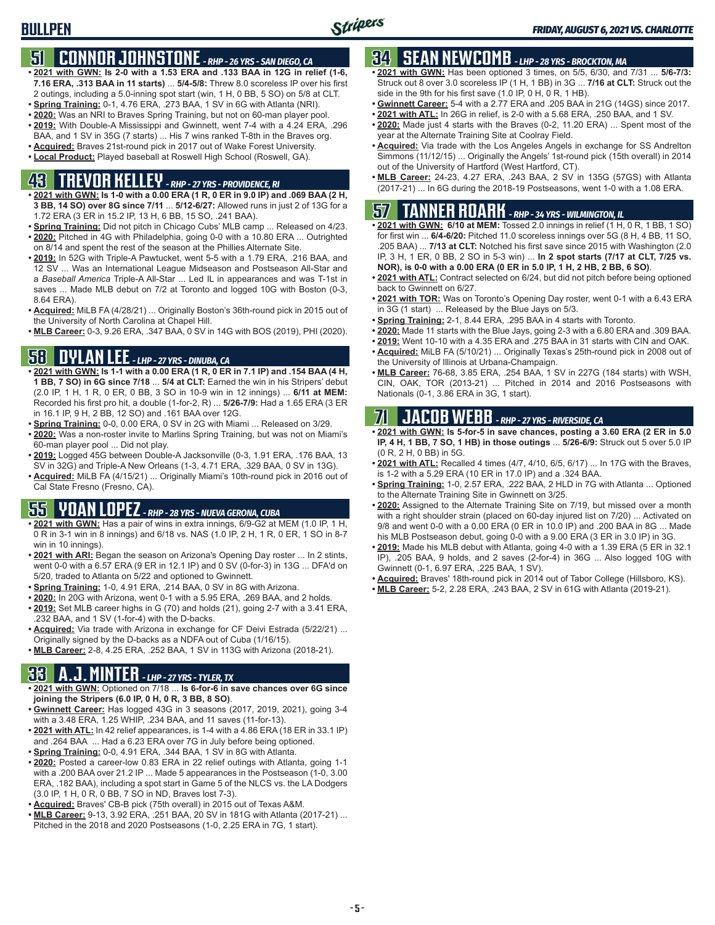## **51 CONNOR JOHNSTONE** *- RHP - 26 YRS - SAN DIEGO, CA*

- **• 2021 with GWN: Is 2-0 with a 1.53 ERA and .133 BAA in 12G in relief (1-6, 7.16 ERA, .313 BAA in 11 starts)** ... **5/4-5/8:** Threw 8.0 scoreless IP over his first 2 outings, including a 5.0-inning spot start (win, 1 H, 0 BB, 5 SO) on 5/8 at CLT.
- **• Spring Training:** 0-1, 4.76 ERA, .273 BAA, 1 SV in 6G with Atlanta (NRI).
- **• 2020:** Was an NRI to Braves Spring Training, but not on 60-man player pool.
- **• 2019:** With Double-A Mississippi and Gwinnett, went 7-4 with a 4.24 ERA, .296 BAA, and 1 SV in 35G (7 starts) ... His 7 wins ranked T-8th in the Braves org.
- **• Acquired:** Braves 21st-round pick in 2017 out of Wake Forest University.
- **• Local Product:** Played baseball at Roswell High School (Roswell, GA).

## **43 TREVOR KELLEY** *- RHP - 27 YRS - PROVIDENCE, RI*

- **• 2021 with GWN: Is 1-0 with a 0.00 ERA (1 R, 0 ER in 9.0 IP) and .069 BAA (2 H, 3 BB, 14 SO) over 8G since 7/11** ... **5/12-6/27:** Allowed runs in just 2 of 13G for a 1.72 ERA (3 ER in 15.2 IP, 13 H, 6 BB, 15 SO, .241 BAA).
- **• Spring Training:** Did not pitch in Chicago Cubs' MLB camp ... Released on 4/23. **• 2020:** Pitched in 4G with Philadelphia, going 0-0 with a 10.80 ERA ... Outrighted on 8/14 and spent the rest of the season at the Phillies Alternate Site.
- **• 2019:** In 52G with Triple-A Pawtucket, went 5-5 with a 1.79 ERA, .216 BAA, and 12 SV ... Was an International League Midseason and Postseason All-Star and a *Baseball America* Triple-A All-Star ... Led IL in appearances and was T-1st in saves ... Made MLB debut on 7/2 at Toronto and logged 10G with Boston (0-3, 8.64 ERA).
- **• Acquired:** MiLB FA (4/28/21) ... Originally Boston's 36th-round pick in 2015 out of the University of North Carolina at Chapel Hill.
- **• MLB Career:** 0-3, 9.26 ERA, .347 BAA, 0 SV in 14G with BOS (2019), PHI (2020).

## **58 DYLAN LEE** *- LHP - 27 YRS - DINUBA, CA*

- **• 2021 with GWN: Is 1-1 with a 0.00 ERA (1 R, 0 ER in 7.1 IP) and .154 BAA (4 H, 1 BB, 7 SO) in 6G since 7/18** ... **5/4 at CLT:** Earned the win in his Stripers' debut (2.0 IP, 1 H, 1 R, 0 ER, 0 BB, 3 SO in 10-9 win in 12 innings) ... **6/11 at MEM:** Recorded his first pro hit, a double (1-for-2, R) ... **5/26-7/9:** Had a 1.65 ERA (3 ER in 16.1 IP, 9 H, 2 BB, 12 SO) and .161 BAA over 12G.
- **• Spring Training:** 0-0, 0.00 ERA, 0 SV in 2G with Miami ... Released on 3/29.
- **• 2020:** Was a non-roster invite to Marlins Spring Training, but was not on Miami's 60-man player pool ... Did not play.
- **• 2019:** Logged 45G between Double-A Jacksonville (0-3, 1.91 ERA, .176 BAA, 13 SV in 32G) and Triple-A New Orleans (1-3, 4.71 ERA, .329 BAA, 0 SV in 13G).
- **• Acquired:** MiLB FA (4/15/21) ... Originally Miami's 10th-round pick in 2016 out of Cal State Fresno (Fresno, CA).

## **55 YOAN LOPEZ** *- RHP - 28 YRS - NUEVA GERONA, CUBA*

- **• 2021 with GWN:** Has a pair of wins in extra innings, 6/9-G2 at MEM (1.0 IP, 1 H, 0 R in 3-1 win in 8 innings) and 6/18 vs. NAS (1.0 IP, 2 H, 1 R, 0 ER, 1 SO in 8-7 win in 10 innings).
- **• 2021 with ARI:** Began the season on Arizona's Opening Day roster ... In 2 stints, went 0-0 with a 6.57 ERA (9 ER in 12.1 IP) and 0 SV (0-for-3) in 13G ... DFA'd on 5/20, traded to Atlanta on 5/22 and optioned to Gwinnett.
- **• Spring Training:** 1-0, 4.91 ERA, .214 BAA, 0 SV in 8G with Arizona.
- **• 2020:** In 20G with Arizona, went 0-1 with a 5.95 ERA, .269 BAA, and 2 holds.
- **• 2019:** Set MLB career highs in G (70) and holds (21), going 2-7 with a 3.41 ERA, .232 BAA, and 1 SV (1-for-4) with the D-backs.
- **• Acquired:** Via trade with Arizona in exchange for CF Deivi Estrada (5/22/21) ... Originally signed by the D-backs as a NDFA out of Cuba (1/16/15).
- **• MLB Career:** 2-8, 4.25 ERA, .252 BAA, 1 SV in 113G with Arizona (2018-21).

## **33 A.J. MINTER** *- LHP - 27 YRS - TYLER, TX*

- **• 2021 with GWN:** Optioned on 7/18 ... **Is 6-for-6 in save chances over 6G since joining the Stripers (6.0 IP, 0 H, 0 R, 3 BB, 8 SO)**.
- **• Gwinnett Career:** Has logged 43G in 3 seasons (2017, 2019, 2021), going 3-4 with a 3.48 ERA, 1.25 WHIP, .234 BAA, and 11 saves (11-for-13).
- **• 2021 with ATL:** In 42 relief appearances, is 1-4 with a 4.86 ERA (18 ER in 33.1 IP) and .264 BAA ... Had a 6.23 ERA over 7G in July before being optioned.
- **• Spring Training:** 0-0, 4.91 ERA, .344 BAA, 1 SV in 8G with Atlanta.
- **• 2020:** Posted a career-low 0.83 ERA in 22 relief outings with Atlanta, going 1-1 with a .200 BAA over 21.2 IP ... Made 5 appearances in the Postseason (1-0, 3.00 ERA, .182 BAA), including a spot start in Game 5 of the NLCS vs. the LA Dodgers (3.0 IP, 1 H, 0 R, 0 BB, 7 SO in ND, Braves lost 7-3).
- **• Acquired:** Braves' CB-B pick (75th overall) in 2015 out of Texas A&M.
- **• MLB Career:** 9-13, 3.92 ERA, .251 BAA, 20 SV in 181G with Atlanta (2017-21) ... Pitched in the 2018 and 2020 Postseasons (1-0, 2.25 ERA in 7G, 1 start).

## **34 SEAN NEWCOMB** *- LHP - 28 YRS - BROCKTON, MA*

- **• 2021 with GWN:** Has been optioned 3 times, on 5/5, 6/30, and 7/31 ... **5/6-7/3:** Struck out 8 over 3.0 scoreless IP (1 H, 1 BB) in 3G ... **7/16 at CLT:** Struck out the side in the 9th for his first save (1.0 IP, 0 H, 0 R, 1 HB).
- **• Gwinnett Career:** 5-4 with a 2.77 ERA and .205 BAA in 21G (14GS) since 2017.
- **• 2021 with ATL:** In 26G in relief, is 2-0 with a 5.68 ERA, .250 BAA, and 1 SV.
- **• 2020:** Made just 4 starts with the Braves (0-2, 11.20 ERA) ... Spent most of the year at the Alternate Training Site at Coolray Field.
- **• Acquired:** Via trade with the Los Angeles Angels in exchange for SS Andrelton Simmons (11/12/15) ... Originally the Angels' 1st-round pick (15th overall) in 2014 out of the University of Hartford (West Hartford, CT).
- **• MLB Career:** 24-23, 4.27 ERA, .243 BAA, 2 SV in 135G (57GS) with Atlanta (2017-21) ... In 6G during the 2018-19 Postseasons, went 1-0 with a 1.08 ERA.

## **57 TANNER ROARK** *- RHP - 34 YRS - WILMINGTON, IL*

- **• 2021 with GWN: 6/10 at MEM:** Tossed 2.0 innings in relief (1 H, 0 R, 1 BB, 1 SO) for first win ... **6/4-6/20:** Pitched 11.0 scoreless innings over 5G (8 H, 4 BB, 11 SO, .205 BAA) ... **7/13 at CLT:** Notched his first save since 2015 with Washington (2.0 IP, 3 H, 1 ER, 0 BB, 2 SO in 5-3 win) ... **In 2 spot starts (7/17 at CLT, 7/25 vs. NOR), is 0-0 with a 0.00 ERA (0 ER in 5.0 IP, 1 H, 2 HB, 2 BB, 6 SO)**.
- **• 2021 with ATL:** Contract selected on 6/24, but did not pitch before being optioned back to Gwinnett on 6/27.
- **• 2021 with TOR:** Was on Toronto's Opening Day roster, went 0-1 with a 6.43 ERA in 3G (1 start) ... Released by the Blue Jays on 5/3.
- **• Spring Training:** 2-1, 8.44 ERA, .295 BAA in 4 starts with Toronto.
- **• 2020:** Made 11 starts with the Blue Jays, going 2-3 with a 6.80 ERA and .309 BAA.
- **• 2019:** Went 10-10 with a 4.35 ERA and .275 BAA in 31 starts with CIN and OAK.
- **• Acquired:** MiLB FA (5/10/21) ... Originally Texas's 25th-round pick in 2008 out of the University of Illinois at Urbana-Champaign.
- **• MLB Career:** 76-68, 3.85 ERA, .254 BAA, 1 SV in 227G (184 starts) with WSH, CIN, OAK, TOR (2013-21) ... Pitched in 2014 and 2016 Postseasons with Nationals (0-1, 3.86 ERA in 3G, 1 start).

## **71 JACOB WEBB** *- RHP - 27 YRS - RIVERSIDE, CA*

- **• 2021 with GWN: Is 5-for-5 in save chances, posting a 3.60 ERA (2 ER in 5.0 IP, 4 H, 1 BB, 7 SO, 1 HB) in those outings** ... **5/26-6/9:** Struck out 5 over 5.0 IP (0 R, 2 H, 0 BB) in 5G.
- **• 2021 with ATL:** Recalled 4 times (4/7, 4/10, 6/5, 6/17) ... In 17G with the Braves, is 1-2 with a 5.29 ERA (10 ER in 17.0 IP) and a .324 BAA.
- **• Spring Training:** 1-0, 2.57 ERA, .222 BAA, 2 HLD in 7G with Atlanta ... Optioned to the Alternate Training Site in Gwinnett on 3/25.
- **• 2020:** Assigned to the Alternate Training Site on 7/19, but missed over a month with a right shoulder strain (placed on 60-day injured list on 7/20) ... Activated on 9/8 and went 0-0 with a 0.00 ERA (0 ER in 10.0 IP) and .200 BAA in 8G ... Made his MLB Postseason debut, going 0-0 with a 9.00 ERA (3 ER in 3.0 IP) in 3G.
- **• 2019:** Made his MLB debut with Atlanta, going 4-0 with a 1.39 ERA (5 ER in 32.1 IP), .205 BAA, 9 holds, and 2 saves (2-for-4) in 36G ... Also logged 10G with Gwinnett (0-1, 6.97 ERA, .225 BAA, 1 SV).
- **• Acquired:** Braves' 18th-round pick in 2014 out of Tabor College (Hillsboro, KS).
- **• MLB Career:** 5-2, 2.28 ERA, .243 BAA, 2 SV in 61G with Atlanta (2019-21).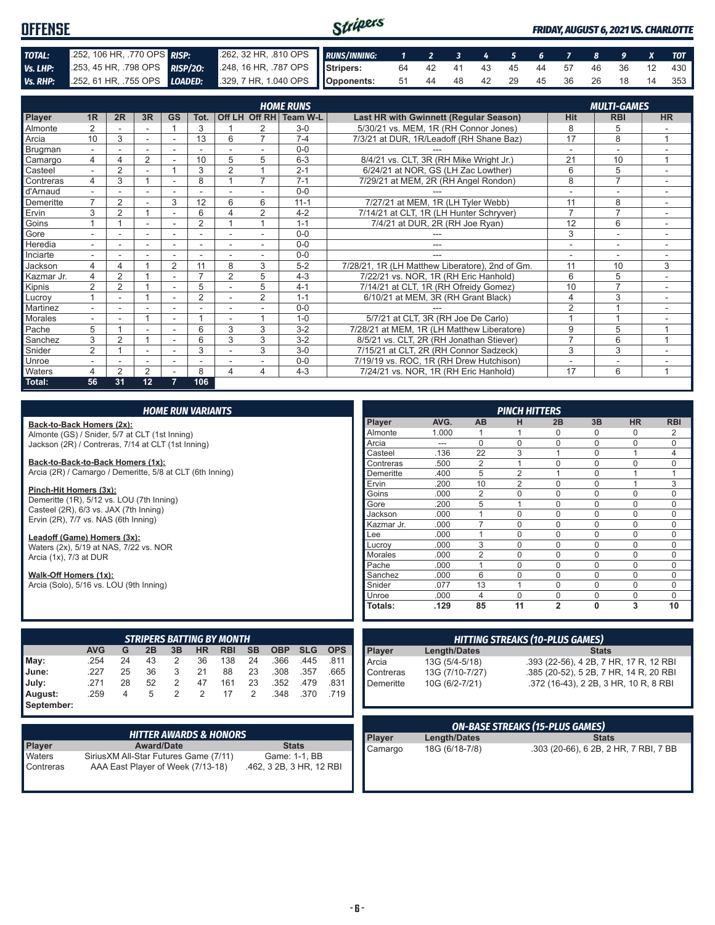| <b>OFFENSE</b> |                                                                      |  | Stripers                                                  |  |  |  |  |  |  |  | <b>FRIDAY, AUGUST 6, 2021 VS. CHARLOTTE</b> |  |  |  |                                   |  |
|----------------|----------------------------------------------------------------------|--|-----------------------------------------------------------|--|--|--|--|--|--|--|---------------------------------------------|--|--|--|-----------------------------------|--|
| TOTAL:         | 252, 106 HR, 770 OPS RISP:                                           |  | 262, 32 HR, .810 OPS RUNS/INNING: 1 2 3 4 5 6 7 8 9 X TOT |  |  |  |  |  |  |  |                                             |  |  |  |                                   |  |
| Vs. LHP:       | 253, 45 HR, 798 OPS RISP/20:                                         |  | 248, 16 HR, 787 OPS Stripers:                             |  |  |  |  |  |  |  |                                             |  |  |  | 64 42 41 43 45 44 57 46 36 12 430 |  |
|                | Vs. RHP: 252, 61 HR, 755 OPS LOADED: 329, 7 HR, 1.040 OPS Opponents: |  |                                                           |  |  |  |  |  |  |  |                                             |  |  |  | 51 44 48 42 29 45 36 26 18 14 353 |  |

|            | <b>HOME RUNS</b>         |                |    |                |                |                |                          |                        |                                                 |                          |                          |                |
|------------|--------------------------|----------------|----|----------------|----------------|----------------|--------------------------|------------------------|-------------------------------------------------|--------------------------|--------------------------|----------------|
|            |                          |                |    |                |                |                |                          |                        |                                                 |                          | <b>MULTI-GAMES</b>       |                |
| Player     | 1 <sub>R</sub>           | 2R             | 3R | <b>GS</b>      | Tot.           |                |                          | Off LH Off RH Team W-L | <b>Last HR with Gwinnett (Regular Season)</b>   | <b>Hit</b>               | <b>RBI</b>               | <b>HR</b>      |
| Almonte    |                          |                |    |                | 3              |                |                          | $3-0$                  | 5/30/21 vs. MEM, 1R (RH Connor Jones)           | 8                        | 5                        |                |
| Arcia      | 10                       | 3              |    |                | 13             | 6              | $\overline{7}$           | $7 - 4$                | 7/3/21 at DUR, 1R/Leadoff (RH Shane Baz)        | 17                       | 8                        |                |
| Brugman    | $\overline{\phantom{a}}$ |                |    |                |                |                |                          | $0 - 0$                |                                                 | $\overline{\phantom{a}}$ | $\overline{\phantom{a}}$ |                |
| Camargo    | 4                        |                | 2  |                | 10             | 5              | 5                        | $6 - 3$                | 8/4/21 vs. CLT, 3R (RH Mike Wright Jr.)         | 21                       | 10                       |                |
| Casteel    |                          | $\overline{2}$ |    |                | 3              | $\overline{2}$ |                          | $2 - 1$                | 6/24/21 at NOR, GS (LH Zac Lowther)             | 6                        | 5                        |                |
| Contreras  | 4                        | 3              |    |                | 8              |                | $\overline{7}$           | $7 - 1$                | 7/29/21 at MEM, 2R (RH Angel Rondon)            | 8                        | $\overline{7}$           |                |
| d'Arnaud   | $\sim$                   |                | ÷. | ٠              | $\overline{a}$ | ٠              |                          | $0 - 0$                |                                                 |                          | ٠                        | $\sim$         |
| Demeritte  | $\overline{7}$           | $\overline{2}$ |    | 3              | 12             | 6              | 6                        | $11 - 1$               | 7/27/21 at MEM, 1R (LH Tyler Webb)              | 11                       | 8                        |                |
| Ervin      | 3                        | 2              |    | ۰              | 6              | 4              | $\overline{2}$           | $4 - 2$                | 7/14/21 at CLT, 1R (LH Hunter Schryver)         | $\overline{7}$           | $\overline{7}$           |                |
| Goins      |                          |                | ٠  | ٠              | $\overline{2}$ |                |                          | $1 - 1$                | 7/4/21 at DUR, 2R (RH Joe Ryan)                 | 12                       | 6                        | $\sim$         |
| Gore       |                          |                |    |                |                |                |                          | $0 - 0$                |                                                 | 3                        | ۰                        |                |
| Heredia    |                          |                | ۰  |                | ٠              |                |                          | $0 - 0$                | ---                                             | ٠                        | ۰                        |                |
| Inciarte   | $\sim$                   | ۰              | ٠  | ٠              | ٠              | ٠              | $\overline{\phantom{a}}$ | $0 - 0$                | ---                                             | ٠                        | $\overline{\phantom{a}}$ | $\sim$         |
| Jackson    | 4                        | 4              |    | $\overline{2}$ | 11             | 8              | 3                        | $5-2$                  | 7/28/21, 1R (LH Matthew Liberatore), 2nd of Gm. | 11                       | 10                       | 3              |
| Kazmar Jr. | 4                        | 2              |    | ٠              | $\overline{ }$ | $\overline{2}$ | 5                        | $4 - 3$                | 7/22/21 vs. NOR, 1R (RH Eric Hanhold)           | 6                        | 5                        |                |
| Kipnis     | $\overline{2}$           | $\overline{2}$ |    | ٠              | 5              |                | 5                        | $4 - 1$                | 7/14/21 at CLT, 1R (RH Ofreidy Gomez)           | 10                       | $\overline{7}$           | $\sim$         |
| Lucrov     |                          |                |    |                | 2              |                | $\overline{2}$           | $1 - 1$                | 6/10/21 at MEM, 3R (RH Grant Black)             | 4                        | 3                        |                |
| Martinez   |                          |                |    |                |                |                |                          | $0 - 0$                |                                                 | $\overline{2}$           |                          |                |
| Morales    | $\overline{\phantom{a}}$ |                |    | ٠              |                | ٠              |                          | $1 - 0$                | 5/7/21 at CLT, 3R (RH Joe De Carlo)             |                          |                          |                |
| Pache      | 5                        |                |    |                | 6              | 3              | 3                        | $3 - 2$                | 7/28/21 at MEM, 1R (LH Matthew Liberatore)      | 9                        | 5                        | $\overline{ }$ |
| Sanchez    | 3                        | 2              |    | ٠              | 6              | 3              | 3                        | $3-2$                  | 8/5/21 vs. CLT, 2R (RH Jonathan Stiever)        | $\overline{7}$           | 6                        | $\overline{ }$ |
| Snider     | $\overline{2}$           |                | ٠  | ٠              | 3              |                | 3                        | $3-0$                  | 7/15/21 at CLT, 2R (RH Connor Sadzeck)          | 3                        | 3                        |                |
| Unroe      |                          |                |    |                |                |                |                          | $0 - 0$                | 7/19/19 vs. ROC, 1R (RH Drew Hutchison)         |                          | ۰                        |                |
| Waters     | 4                        | 2              | 2  |                | 8              | 4              | 4                        | $4 - 3$                | 7/24/21 vs. NOR, 1R (RH Eric Hanhold)           | 17                       | 6                        | $\overline{A}$ |
| Total:     | 56                       | 31             | 12 |                | 106            |                |                          |                        |                                                 |                          |                          |                |

| <b>HOME RUN VARIANTS</b>                                                  |                                                                 |    |           |                                                           |                |                                  |           |            |            |                                       |               |                     | <b>PINCH HITTERS</b> |                                        |                |              |                                        |            |
|---------------------------------------------------------------------------|-----------------------------------------------------------------|----|-----------|-----------------------------------------------------------|----------------|----------------------------------|-----------|------------|------------|---------------------------------------|---------------|---------------------|----------------------|----------------------------------------|----------------|--------------|----------------------------------------|------------|
| Back-to-Back Homers (2x):                                                 |                                                                 |    |           |                                                           |                |                                  |           |            |            |                                       | <b>Player</b> | AVG.                | AB                   | н                                      | 2B             | 3B           | <b>HR</b>                              | <b>RBI</b> |
| Almonte (GS) / Snider, 5/7 at CLT (1st Inning)                            |                                                                 |    |           |                                                           |                |                                  |           |            | Almonte    | 1.000                                 |               |                     | $\mathbf{0}$         | $\mathbf 0$                            | $\Omega$       | 2            |                                        |            |
| Jackson (2R) / Contreras, 7/14 at CLT (1st Inning)                        |                                                                 |    |           |                                                           |                |                                  |           |            |            |                                       | Arcia         | ---                 | $\Omega$             | $\Omega$                               | $\mathbf 0$    | $\Omega$     | $\Omega$                               | 0          |
|                                                                           |                                                                 |    |           |                                                           |                |                                  |           |            |            |                                       | Casteel       | .136                | 22                   | 3                                      | $\overline{1}$ | $\mathbf 0$  |                                        | 4          |
| Back-to-Back-to-Back Homers (1x):                                         |                                                                 |    |           |                                                           |                |                                  |           |            |            |                                       | Contreras     | .500                | $\overline{2}$       |                                        | $\mathbf 0$    | $\Omega$     | $\Omega$                               | 0          |
| Arcia (2R) / Camargo / Demeritte, 5/8 at CLT (6th Inning)                 |                                                                 |    |           |                                                           |                |                                  |           |            |            |                                       | Demeritte     | .400                | 5                    | $\overline{2}$                         | $\overline{A}$ | $\mathbf 0$  |                                        |            |
|                                                                           |                                                                 |    |           |                                                           |                |                                  |           |            |            |                                       | Ervin         | .200                | 10                   | $\overline{2}$                         | $\Omega$       | $\Omega$     |                                        | 3          |
| Pinch-Hit Homers (3x):                                                    |                                                                 |    |           |                                                           |                |                                  |           |            |            |                                       | Goins         | .000                | $\overline{2}$       | $\Omega$                               | $\Omega$       | $\Omega$     | 0                                      | 0          |
| Demeritte (1R), 5/12 vs. LOU (7th Inning)                                 |                                                                 |    |           |                                                           |                |                                  |           |            |            |                                       | Gore          | .200                | 5                    |                                        | $\mathbf 0$    | $\mathbf 0$  | $\Omega$                               | 0          |
| Casteel (2R), 6/3 vs. JAX (7th Inning)                                    |                                                                 |    |           |                                                           |                |                                  |           |            |            |                                       | Jackson       | .000                |                      | $\Omega$                               | $\mathbf 0$    | $\mathbf 0$  | $\Omega$                               | 0          |
| Ervin (2R), 7/7 vs. NAS (6th Inning)                                      |                                                                 |    |           |                                                           |                |                                  |           |            |            |                                       | Kazmar Jr.    | .000                | $\overline{7}$       | $\Omega$                               | $\mathbf 0$    | $\mathbf 0$  | 0                                      | 0          |
| Leadoff (Game) Homers (3x):                                               |                                                                 |    |           |                                                           |                |                                  |           |            |            |                                       | Lee           | .000                |                      | $\Omega$                               | $\mathbf 0$    | $\mathbf 0$  | $\Omega$                               | 0          |
| Waters (2x), 5/19 at NAS, 7/22 vs. NOR                                    |                                                                 |    |           |                                                           |                |                                  |           |            |            |                                       | Lucroy        | .000                | 3                    | $\Omega$                               | $\Omega$       | $\Omega$     | $\Omega$                               | $\Omega$   |
| Arcia (1x), 7/3 at DUR                                                    |                                                                 |    |           |                                                           |                |                                  |           |            |            |                                       | Morales       | .000                | $\overline{2}$       | $\Omega$                               | $\Omega$       | $\Omega$     | $\Omega$                               | $\Omega$   |
|                                                                           |                                                                 |    |           |                                                           |                |                                  |           |            |            |                                       | Pache         | .000                |                      | $\Omega$                               | $\mathbf 0$    | $\Omega$     | $\Omega$                               | 0          |
| Walk-Off Homers (1x):                                                     |                                                                 |    |           |                                                           |                |                                  |           |            |            |                                       | Sanchez       | .000                | 6                    | $\Omega$                               | $\mathbf 0$    | $\mathbf 0$  | $\Omega$                               | 0          |
| Arcia (Solo), 5/16 vs. LOU (9th Inning)                                   |                                                                 |    |           |                                                           |                |                                  |           |            |            |                                       | Snider        | .077                | 13                   |                                        | $\Omega$       | $\Omega$     | 0                                      | $\Omega$   |
|                                                                           |                                                                 |    |           |                                                           |                |                                  |           |            |            |                                       | Unroe         | .000                | $\overline{4}$       | $\Omega$                               | $\mathbf 0$    | $\Omega$     | $\Omega$                               | $\Omega$   |
|                                                                           |                                                                 |    |           |                                                           |                |                                  |           |            |            |                                       | Totals:       | .129                | 85                   | 11                                     | $\overline{2}$ | $\mathbf 0$  | 3                                      | 10         |
|                                                                           |                                                                 |    |           |                                                           |                |                                  |           |            |            |                                       |               |                     |                      |                                        |                |              |                                        |            |
|                                                                           |                                                                 |    |           |                                                           |                | <b>STRIPERS BATTING BY MONTH</b> |           |            |            |                                       |               |                     |                      | <b>HITTING STREAKS (10-PLUS GAMES)</b> |                |              |                                        |            |
|                                                                           | <b>AVG</b>                                                      | G  | 2B        | 3B                                                        | <b>HR</b>      | <b>RBI</b>                       | <b>SB</b> | <b>OBP</b> | <b>SLG</b> | <b>OPS</b>                            | Player        | <b>Length/Dates</b> |                      |                                        |                | <b>Stats</b> |                                        |            |
| May:                                                                      | .254                                                            | 24 | 43        | 2                                                         | 36             | 138                              | 24        | .366       | .445       | .811                                  | Arcia         | 13G (5/4-5/18)      |                      |                                        |                |              | .393 (22-56), 4 2B, 7 HR, 17 R, 12 RBI |            |
| June:                                                                     | 3<br>25<br>36<br>.227<br>21<br>88<br>23<br>.308<br>.357<br>.665 |    | Contreras | 13G (7/10-7/27)<br>.385 (20-52), 5 2B, 7 HR, 14 R, 20 RBI |                |                                  |           |            |            |                                       |               |                     |                      |                                        |                |              |                                        |            |
| 28<br>.831<br>.271<br>52<br>2<br>47<br>23<br>.479<br>July:<br>161<br>.352 |                                                                 |    |           | Demeritte                                                 | 10G (6/2-7/21) |                                  |           |            |            | .372 (16-43), 2 2B, 3 HR, 10 R, 8 RBI |               |                     |                      |                                        |                |              |                                        |            |
| August:                                                                   | .259                                                            | 4  | 5         | $\overline{2}$                                            | $\overline{2}$ | 17                               | 2         | .348       | .370       | .719                                  |               |                     |                      |                                        |                |              |                                        |            |
| September:                                                                |                                                                 |    |           |                                                           |                |                                  |           |            |            |                                       |               |                     |                      |                                        |                |              |                                        |            |

|           | <b>HITTER AWARDS &amp; HONORS</b>      |                          |
|-----------|----------------------------------------|--------------------------|
| Player    | <b>Award/Date</b>                      | <b>Stats</b>             |
| Waters    | Sirius XM All-Star Futures Game (7/11) | Game: 1-1, BB            |
| Contreras | AAA East Player of Week (7/13-18)      | .462, 3 2B, 3 HR, 12 RBI |

|            |                   | <b>ON-BASE STREAKS (15-PLUS GAMES)</b>   |
|------------|-------------------|------------------------------------------|
|            |                   |                                          |
|            |                   |                                          |
| Demeritte  | 10G (6/2-7/21)    | .372 (16-43), 2 2B, 3 HR, 10 R, 8 RBI    |
| ∎∪ontreras | $13G$ (1/10-1/21) | $.385$ (20-52), 5 2B, 7 HR, 14 R, 20 RBI |

| ON-BASE STREAKS (15-PLUS GAMES) |                     |                                       |  |  |  |  |  |
|---------------------------------|---------------------|---------------------------------------|--|--|--|--|--|
| <b>Player</b>                   | <b>Length/Dates</b> | <b>Stats</b>                          |  |  |  |  |  |
| Camargo                         | 18G (6/18-7/8)      | .303 (20-66), 6 2B, 2 HR, 7 RBI, 7 BB |  |  |  |  |  |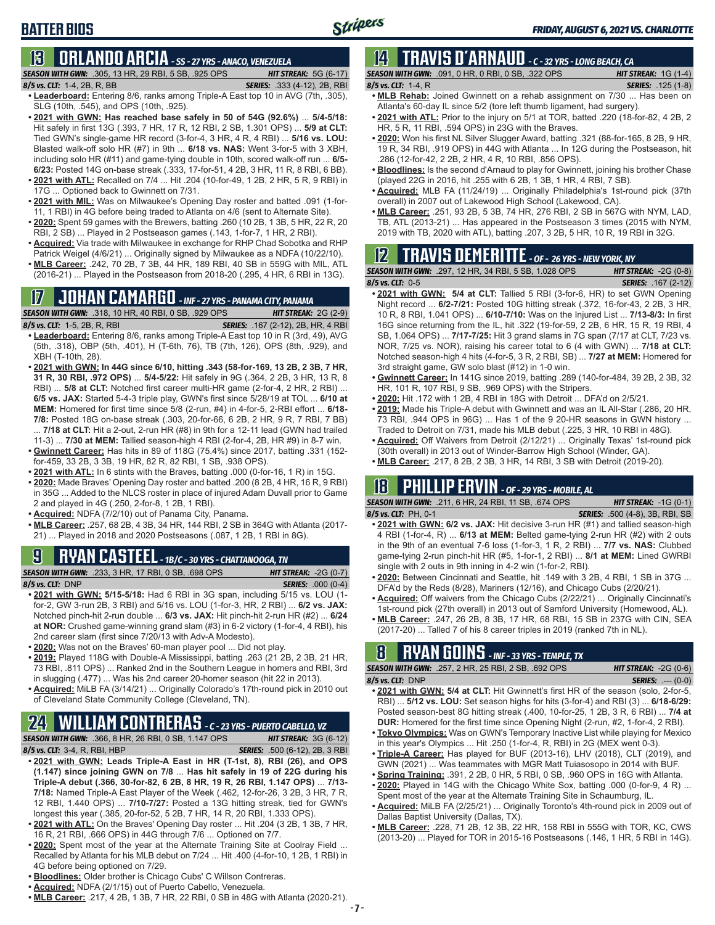# **BATTER BIOS**

## **13 ORLANDO ARCIA** *- SS - 27 YRS - ANACO, VENEZUELA*

*SEASON WITH GWN:*.305, 13 HR, 29 RBI, 5 SB, .925 OPS *HIT STREAK:* 5G (6-17)

*8/5 vs. CLT:*1-4, 2B, R, BB *SERIES:* .333 (4-12), 2B, RBI

- **• Leaderboard:** Entering 8/6, ranks among Triple-A East top 10 in AVG (7th, .305), SLG (10th, .545), and OPS (10th, .925).
- **• 2021 with GWN: Has reached base safely in 50 of 54G (92.6%)** ... **5/4-5/18:**  Hit safely in first 13G (.393, 7 HR, 17 R, 12 RBI, 2 SB, 1.301 OPS) ... **5/9 at CLT:** Tied GWN's single-game HR record (3-for-4, 3 HR, 4 R, 4 RBI) ... **5/16 vs. LOU:** Blasted walk-off solo HR (#7) in 9th ... **6/18 vs. NAS:** Went 3-for-5 with 3 XBH, including solo HR (#11) and game-tying double in 10th, scored walk-off run ... **6/5- 6/23:** Posted 14G on-base streak (.333, 17-for-51, 4 2B, 3 HR, 11 R, 8 RBI, 6 BB). **• 2021 with ATL:** Recalled on 7/4 ... Hit .204 (10-for-49, 1 2B, 2 HR, 5 R, 9 RBI) in
- 17G ... Optioned back to Gwinnett on 7/31. **• 2021 with MIL:** Was on Milwaukee's Opening Day roster and batted .091 (1-for-
- 11, 1 RBI) in 4G before being traded to Atlanta on 4/6 (sent to Alternate Site).
- **• 2020:** Spent 59 games with the Brewers, batting .260 (10 2B, 1 3B, 5 HR, 22 R, 20 RBI, 2 SB) ... Played in 2 Postseason games (.143, 1-for-7, 1 HR, 2 RBI).
- **• Acquired:** Via trade with Milwaukee in exchange for RHP Chad Sobotka and RHP Patrick Weigel (4/6/21) ... Originally signed by Milwaukee as a NDFA (10/22/10).
- **• MLB Career:** .242, 70 2B, 7 3B, 44 HR, 189 RBI, 40 SB in 559G with MIL, ATL (2016-21) ... Played in the Postseason from 2018-20 (.295, 4 HR, 6 RBI in 13G).

## **17 JOHAN CAMARGO** *- INF - 27 YRS - PANAMA CITY, PANAMA*

*SEASON WITH GWN:*.318, 10 HR, 40 RBI, 0 SB, .929 OPS *HIT STREAK:* 2G (2-9)

- *8/5 vs. CLT:* 1-5, 2B, R, RBI *SERIES:* .167 (2-12), 2B, HR, 4 RBI **• Leaderboard:** Entering 8/6, ranks among Triple-A East top 10 in R (3rd, 49), AVG (5th, .318), OBP (5th, .401), H (T-6th, 76), TB (7th, 126), OPS (8th, .929), and XBH (T-10th, 28).
- **• 2021 with GWN: In 44G since 6/10, hitting .343 (58-for-169, 13 2B, 2 3B, 7 HR, 31 R, 30 RBI, .972 OPS)** ... **5/4-5/22:** Hit safely in 9G (.364, 2 2B, 3 HR, 13 R, 8 RBI) ... **5/8 at CLT:** Notched first career multi-HR game (2-for-4, 2 HR, 2 RBI) ... **6/5 vs. JAX:** Started 5-4-3 triple play, GWN's first since 5/28/19 at TOL ... **6/10 at MEM:** Homered for first time since 5/8 (2-run, #4) in 4-for-5, 2-RBI effort ... **6/18- 7/8:** Posted 18G on-base streak (.303, 20-for-66, 6 2B, 2 HR, 9 R, 7 RBI, 7 BB) ... **7/18 at CLT:** Hit a 2-out, 2-run HR (#8) in 9th for a 12-11 lead (GWN had trailed
- 11-3) ... **7/30 at MEM:** Tallied season-high 4 RBI (2-for-4, 2B, HR #9) in 8-7 win. **• Gwinnett Career:** Has hits in 89 of 118G (75.4%) since 2017, batting .331 (152 for-459, 33 2B, 3 3B, 19 HR, 82 R, 82 RBI, 1 SB, .938 OPS).
- **• 2021 with ATL:** In 6 stints with the Braves, batting .000 (0-for-16, 1 R) in 15G.
- **• 2020:** Made Braves' Opening Day roster and batted .200 (8 2B, 4 HR, 16 R, 9 RBI) in 35G ... Added to the NLCS roster in place of injured Adam Duvall prior to Game 2 and played in 4G (.250, 2-for-8, 1 2B, 1 RBI).
- **• Acquired:** NDFA (7/2/10) out of Panama City, Panama.
- **• MLB Career:** .257, 68 2B, 4 3B, 34 HR, 144 RBI, 2 SB in 364G with Atlanta (2017- 21) ... Played in 2018 and 2020 Postseasons (.087, 1 2B, 1 RBI in 8G).

## **9 RYAN CASTEEL** *- 1B/C - 30 YRS - CHATTANOOGA, TN*

*SEASON WITH GWN:*.233, 3 HR, 17 RBI, 0 SB, .698 OPS *HIT STREAK:* -2G (0-7) *8/5 vs. CLT:*DNP *SERIES:* .000 (0-4)

- **• 2021 with GWN: 5/15-5/18:** Had 6 RBI in 3G span, including 5/15 vs. LOU (1 for-2, GW 3-run 2B, 3 RBI) and 5/16 vs. LOU (1-for-3, HR, 2 RBI) ... **6/2 vs. JAX:** Notched pinch-hit 2-run double ... **6/3 vs. JAX:** Hit pinch-hit 2-run HR (#2) ... **6/24 at NOR:** Crushed game-winning grand slam (#3) in 6-2 victory (1-for-4, 4 RBI), his 2nd career slam (first since 7/20/13 with Adv-A Modesto).
- **• 2020:** Was not on the Braves' 60-man player pool ... Did not play.
- **• 2019:** Played 118G with Double-A Mississippi, batting .263 (21 2B, 2 3B, 21 HR, 73 RBI, .811 OPS) ... Ranked 2nd in the Southern League in homers and RBI, 3rd in slugging (.477) ... Was his 2nd career 20-homer season (hit 22 in 2013).
- **• Acquired:** MiLB FA (3/14/21) ... Originally Colorado's 17th-round pick in 2010 out of Cleveland State Community College (Cleveland, TN).

## **24 WILLIAM CONTRERAS** *- C - 23 YRS - PUERTO CABELLO, VZ*

*SEASON WITH GWN:*.366, 8 HR, 26 RBI, 0 SB, 1.147 OPS *HIT STREAK:* 3G (6-12) *8/5 vs. CLT:* 3-4, R, RBI, HBP *SERIES:* .500 (6-12), 2B, 3 RBI

- **• 2021 with GWN: Leads Triple-A East in HR (T-1st, 8), RBI (26), and OPS (1.147) since joining GWN on 7/8** ... **Has hit safely in 19 of 22G during his Triple-A debut (.366, 30-for-82, 6 2B, 8 HR, 19 R, 26 RBI, 1.147 OPS)** ... **7/13- 7/18:** Named Triple-A East Player of the Week (.462, 12-for-26, 3 2B, 3 HR, 7 R, 12 RBI, 1.440 OPS) ... **7/10-7/27:** Posted a 13G hitting streak, tied for GWN's longest this year (.385, 20-for-52, 5 2B, 7 HR, 14 R, 20 RBI, 1.333 OPS).
- **• 2021 with ATL:** On the Braves' Opening Day roster ... Hit .204 (3 2B, 1 3B, 7 HR, 16 R, 21 RBI, .666 OPS) in 44G through 7/6 ... Optioned on 7/7.
- **• 2020:** Spent most of the year at the Alternate Training Site at Coolray Field ... Recalled by Atlanta for his MLB debut on 7/24 ... Hit .400 (4-for-10, 1 2B, 1 RBI) in 4G before being optioned on 7/29.
- **• Bloodlines:** Older brother is Chicago Cubs' C Willson Contreras.
- **• Acquired:** NDFA (2/1/15) out of Puerto Cabello, Venezuela.
- **• MLB Career:** .217, 4 2B, 1 3B, 7 HR, 22 RBI, 0 SB in 48G with Atlanta (2020-21).

#### **14 TRAVIS d'ARNAUD** *- C - 32 YRS - LONG BEACH, CA SEASON WITH GWN:*.091, 0 HR, 0 RBI, 0 SB, .322 OPS *HIT STREAK:* 1G (1-4)

- *8/5 vs. CLT:*1-4, R *SERIES:* .125 (1-8) **• MLB Rehab:** Joined Gwinnett on a rehab assignment on 7/30 ... Has been on Atlanta's 60-day IL since 5/2 (tore left thumb ligament, had surgery).
- **• 2021 with ATL:** Prior to the injury on 5/1 at TOR, batted .220 (18-for-82, 4 2B, 2 HR, 5 R, 11 RBI, .594 OPS) in 23G with the Braves.
- **• 2020:** Won his first NL Silver Slugger Award, batting .321 (88-for-165, 8 2B, 9 HR, 19 R, 34 RBI, .919 OPS) in 44G with Atlanta ... In 12G during the Postseason, hit .286 (12-for-42, 2 2B, 2 HR, 4 R, 10 RBI, .856 OPS).
- **• Bloodlines:** Is the second d'Arnaud to play for Gwinnett, joining his brother Chase (played 22G in 2016, hit .255 with 6 2B, 1 3B, 1 HR, 4 RBI, 7 SB).
- **• Acquired:** MLB FA (11/24/19) ... Originally Philadelphia's 1st-round pick (37th overall) in 2007 out of Lakewood High School (Lakewood, CA).
- **• MLB Career:** .251, 93 2B, 5 3B, 74 HR, 276 RBI, 2 SB in 567G with NYM, LAD, TB, ATL (2013-21) ... Has appeared in the Postseason 3 times (2015 with NYM, 2019 with TB, 2020 with ATL), batting .207, 3 2B, 5 HR, 10 R, 19 RBI in 32G.

### **12 TRAVIS DEMERITTE** *- OF - 26 YRS - NEW YORK, NY*

*SEASON WITH GWN:*.297, 12 HR, 34 RBI, 5 SB, 1.028 OPS *HIT STREAK:* -2G (0-8) *8/5 vs. CLT:*0-5 *SERIES:* .167 (2-12)

- **• 2021 with GWN: 5/4 at CLT:** Tallied 5 RBI (3-for-6, HR) to set GWN Opening Night record ... **6/2-7/21:** Posted 10G hitting streak (.372, 16-for-43, 2 2B, 3 HR, 10 R, 8 RBI, 1.041 OPS) ... **6/10-7/10:** Was on the Injured List ... **7/13-8/3:** In first 16G since returning from the IL, hit .322 (19-for-59, 2 2B, 6 HR, 15 R, 19 RBI, 4 SB, 1.064 OPS) ... **7/17-7/25:** Hit 3 grand slams in 7G span (7/17 at CLT, 7/23 vs. NOR, 7/25 vs. NOR), raising his career total to 6 (4 with GWN) ... **7/18 at CLT:** Notched season-high 4 hits (4-for-5, 3 R, 2 RBI, SB) ... **7/27 at MEM:** Homered for 3rd straight game, GW solo blast (#12) in 1-0 win.
- **• Gwinnett Career:** In 141G since 2019, batting .289 (140-for-484, 39 2B, 2 3B, 32 HR, 101 R, 107 RBI, 9 SB, .969 OPS) with the Stripers.
- **• 2020:** Hit .172 with 1 2B, 4 RBI in 18G with Detroit ... DFA'd on 2/5/21.
- **• 2019:** Made his Triple-A debut with Gwinnett and was an IL All-Star (.286, 20 HR, 73 RBI, .944 OPS in 96G) ... Has 1 of the 9 20-HR seasons in GWN history ... Traded to Detroit on 7/31, made his MLB debut (.225, 3 HR, 10 RBI in 48G).
- **• Acquired:** Off Waivers from Detroit (2/12/21) ... Originally Texas' 1st-round pick (30th overall) in 2013 out of Winder-Barrow High School (Winder, GA).
- **• MLB Career:** .217, 8 2B, 2 3B, 3 HR, 14 RBI, 3 SB with Detroit (2019-20).

### **18 PHILLIP ERVIN** *- OF - 29 YRS - MOBILE, AL*

*SEASON WITH GWN:*.211, 6 HR, 24 RBI, 11 SB, .674 OPS *HIT STREAK:* -1G (0-1) *8/5 vs. CLT:*PH, 0-1 *SERIES:* .500 (4-8), 3B, RBI, SB

- **• 2021 with GWN: 6/2 vs. JAX:** Hit decisive 3-run HR (#1) and tallied season-high 4 RBI (1-for-4, R) ... **6/13 at MEM:** Belted game-tying 2-run HR (#2) with 2 outs in the 9th of an eventual 7-6 loss (1-for-3, 1 R, 2 RBI) ... **7/7 vs. NAS:** Clubbed game-tying 2-run pinch-hit HR (#5, 1-for-1, 2 RBI) ... **8/1 at MEM:** Lined GWRBI single with 2 outs in 9th inning in 4-2 win (1-for-2, RBI).
- **• 2020:** Between Cincinnati and Seattle, hit .149 with 3 2B, 4 RBI, 1 SB in 37G ... DFA'd by the Reds (8/28), Mariners (12/16), and Chicago Cubs (2/20/21).
- **• Acquired:** Off waivers from the Chicago Cubs (2/22/21) ... Originally Cincinnati's 1st-round pick (27th overall) in 2013 out of Samford University (Homewood, AL).
- **• MLB Career:** .247, 26 2B, 8 3B, 17 HR, 68 RBI, 15 SB in 237G with CIN, SEA (2017-20) ... Talled 7 of his 8 career triples in 2019 (ranked 7th in NL).

## **8 RYAN GOINS** *- INF - 33 YRS - TEMPLE, TX*

*SEASON WITH GWN:*.257, 2 HR, 25 RBI, 2 SB, .692 OPS *HIT STREAK:* -2G (0-6) *8/5 vs. CLT:*DNP *SERIES:* .--- (0-0)

- **• 2021 with GWN: 5/4 at CLT:** Hit Gwinnett's first HR of the season (solo, 2-for-5, RBI) ... **5/12 vs. LOU:** Set season highs for hits (3-for-4) and RBI (3) ... **6/18-6/29:** Posted season-best 8G hitting streak (.400, 10-for-25, 1 2B, 3 R, 6 RBI) ... **7/4 at DUR:** Homered for the first time since Opening Night (2-run, #2, 1-for-4, 2 RBI).
- **• Tokyo Olympics:** Was on GWN's Temporary Inactive List while playing for Mexico in this year's Olympics ... Hit .250 (1-for-4, R, RBI) in 2G (MEX went 0-3).
- **• Triple-A Career:** Has played for BUF (2013-16), LHV (2018), CLT (2019), and GWN (2021) ... Was teammates with MGR Matt Tuiasosopo in 2014 with BUF.
- **• Spring Training:** .391, 2 2B, 0 HR, 5 RBI, 0 SB, .960 OPS in 16G with Atlanta.
- **• 2020:** Played in 14G with the Chicago White Sox, batting .000 (0-for-9, 4 R) ... Spent most of the year at the Alternate Training Site in Schaumburg, IL.
- **• Acquired:** MiLB FA (2/25/21) ... Originally Toronto's 4th-round pick in 2009 out of Dallas Baptist University (Dallas, TX).
- **• MLB Career:** .228, 71 2B, 12 3B, 22 HR, 158 RBI in 555G with TOR, KC, CWS (2013-20) ... Played for TOR in 2015-16 Postseasons (.146, 1 HR, 5 RBI in 14G).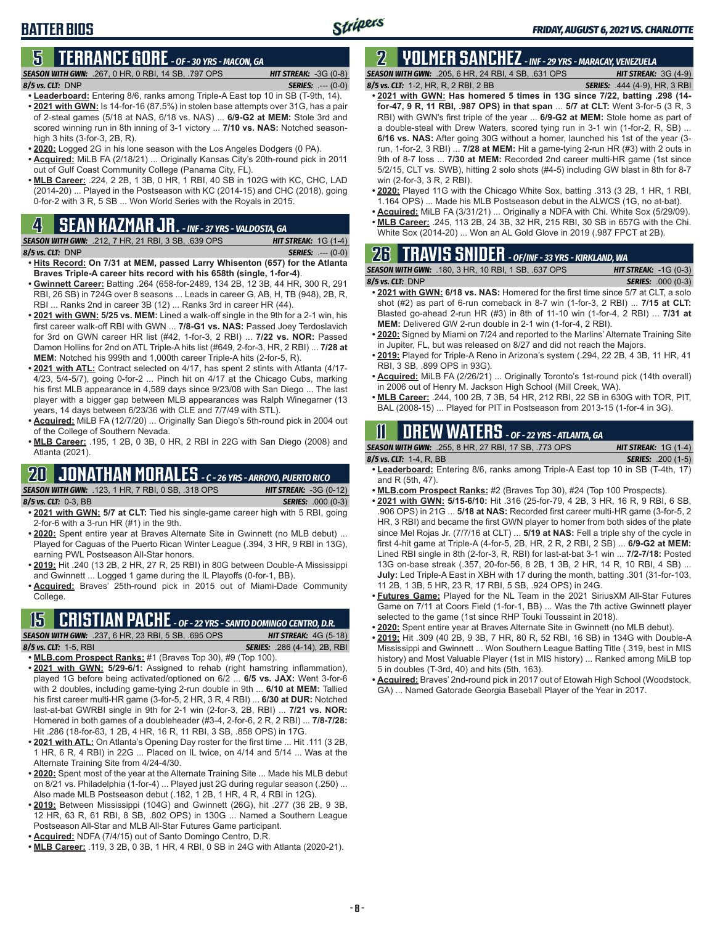## **5 TERRANCE GORE** *- OF - 30 YRS - MACON, GA*

*SEASON WITH GWN:*.267, 0 HR, 0 RBI, 14 SB, .797 OPS *HIT STREAK:* -3G (0-8) *8/5 vs. CLT:*DNP *SERIES:* .--- (0-0)

- - **• Leaderboard:** Entering 8/6, ranks among Triple-A East top 10 in SB (T-9th, 14). **• 2021 with GWN:** Is 14-for-16 (87.5%) in stolen base attempts over 31G, has a pair of 2-steal games (5/18 at NAS, 6/18 vs. NAS) ... **6/9-G2 at MEM:** Stole 3rd and scored winning run in 8th inning of 3-1 victory ... **7/10 vs. NAS:** Notched seasonhigh 3 hits (3-for-3, 2B, R).
	- **• 2020:** Logged 2G in his lone season with the Los Angeles Dodgers (0 PA).
	- **• Acquired:** MiLB FA (2/18/21) ... Originally Kansas City's 20th-round pick in 2011 out of Gulf Coast Community College (Panama City, FL).
	- **• MLB Career:** .224, 2 2B, 1 3B, 0 HR, 1 RBI, 40 SB in 102G with KC, CHC, LAD (2014-20) ... Played in the Postseason with KC (2014-15) and CHC (2018), going 0-for-2 with 3 R, 5 SB ... Won World Series with the Royals in 2015.

## **4 SEAN KAZMAR JR.** *- INF - 37 YRS - VALDOSTA, GA*

*SEASON WITH GWN:*.212, 7 HR, 21 RBI, 3 SB, .639 OPS *HIT STREAK:* 1G (1-4) *8/5 vs. CLT:*DNP *SERIES:* .--- (0-0)

- **• Hits Record: On 7/31 at MEM, passed Larry Whisenton (657) for the Atlanta Braves Triple-A career hits record with his 658th (single, 1-for-4)**.
- **• Gwinnett Career:** Batting .264 (658-for-2489, 134 2B, 12 3B, 44 HR, 300 R, 291 RBI, 26 SB) in 724G over 8 seasons ... Leads in career G, AB, H, TB (948), 2B, R, RBI ... Ranks 2nd in career 3B (12) ... Ranks 3rd in career HR (44).
- **• 2021 with GWN: 5/25 vs. MEM:** Lined a walk-off single in the 9th for a 2-1 win, his first career walk-off RBI with GWN ... **7/8-G1 vs. NAS:** Passed Joey Terdoslavich for 3rd on GWN career HR list (#42, 1-for-3, 2 RBI) ... **7/22 vs. NOR:** Passed Damon Hollins for 2nd on ATL Triple-A hits list (#649, 2-for-3, HR, 2 RBI) ... **7/28 at MEM:** Notched his 999th and 1,000th career Triple-A hits (2-for-5, R).
- **• 2021 with ATL:** Contract selected on 4/17, has spent 2 stints with Atlanta (4/17- 4/23, 5/4-5/7), going 0-for-2 ... Pinch hit on 4/17 at the Chicago Cubs, marking his first MLB appearance in 4,589 days since 9/23/08 with San Diego ... The last player with a bigger gap between MLB appearances was Ralph Winegarner (13 years, 14 days between 6/23/36 with CLE and 7/7/49 with STL).
- **• Acquired:** MiLB FA (12/7/20) ... Originally San Diego's 5th-round pick in 2004 out of the College of Southern Nevada.
- **• MLB Career:** .195, 1 2B, 0 3B, 0 HR, 2 RBI in 22G with San Diego (2008) and Atlanta (2021).

## **20 JONATHAN MORALES** *- C - 26 YRS - ARROYO, PUERTO RICO*

*SEASON WITH GWN:*.123, 1 HR, 7 RBI, 0 SB, .318 OPS *HIT STREAK:* -3G (0-12) *8/5 vs. CLT:*0-3, BB *SERIES:* .000 (0-3)

- **• 2021 with GWN: 5/7 at CLT:** Tied his single-game career high with 5 RBI, going 2-for-6 with a 3-run HR (#1) in the 9th.
- **• 2020:** Spent entire year at Braves Alternate Site in Gwinnett (no MLB debut) ... Played for Caguas of the Puerto Rican Winter League (.394, 3 HR, 9 RBI in 13G), earning PWL Postseason All-Star honors.
- **• 2019:** Hit .240 (13 2B, 2 HR, 27 R, 25 RBI) in 80G between Double-A Mississippi and Gwinnett ... Logged 1 game during the IL Playoffs (0-for-1, BB).
- **• Acquired:** Braves' 25th-round pick in 2015 out of Miami-Dade Community College.

## **15 CRISTIAN PACHE** *- OF - 22 YRS - SANTO DOMINGO CENTRO, D.R.*

*SEASON WITH GWN:*.237, 6 HR, 23 RBI, 5 SB, .695 OPS *HIT STREAK:* 4G (5-18) *8/5 vs. CLT:* 1-5, RBI *SERIES:* .286 (4-14), 2B, RBI

- **• MLB.com Prospect Ranks:** #1 (Braves Top 30), #9 (Top 100).
- **• 2021 with GWN: 5/29-6/1:** Assigned to rehab (right hamstring inflammation), played 1G before being activated/optioned on 6/2 ... **6/5 vs. JAX:** Went 3-for-6 with 2 doubles, including game-tying 2-run double in 9th ... **6/10 at MEM:** Tallied his first career multi-HR game (3-for-5, 2 HR, 3 R, 4 RBI) ... **6/30 at DUR:** Notched last-at-bat GWRBI single in 9th for 2-1 win (2-for-3, 2B, RBI) ... **7/21 vs. NOR:** Homered in both games of a doubleheader (#3-4, 2-for-6, 2 R, 2 RBI) ... **7/8-7/28:** Hit .286 (18-for-63, 1 2B, 4 HR, 16 R, 11 RBI, 3 SB, .858 OPS) in 17G.
- **• 2021 with ATL:** On Atlanta's Opening Day roster for the first time ... Hit .111 (3 2B, 1 HR, 6 R, 4 RBI) in 22G ... Placed on IL twice, on 4/14 and 5/14 ... Was at the Alternate Training Site from 4/24-4/30.
- **• 2020:** Spent most of the year at the Alternate Training Site ... Made his MLB debut on 8/21 vs. Philadelphia (1-for-4) ... Played just 2G during regular season (.250) ... Also made MLB Postseason debut (.182, 1 2B, 1 HR, 4 R, 4 RBI in 12G).
- **• 2019:** Between Mississippi (104G) and Gwinnett (26G), hit .277 (36 2B, 9 3B, 12 HR, 63 R, 61 RBI, 8 SB, .802 OPS) in 130G ... Named a Southern League Postseason All-Star and MLB All-Star Futures Game participant.
- **• Acquired:** NDFA (7/4/15) out of Santo Domingo Centro, D.R.
- **• MLB Career:** .119, 3 2B, 0 3B, 1 HR, 4 RBI, 0 SB in 24G with Atlanta (2020-21).

*SEASON WITH GWN:*.205, 6 HR, 24 RBI, 4 SB, .631 OPS *HIT STREAK:* 3G (4-9) *8/5 vs. CLT:*1-2, HR, R, 2 RBI, 2 BB *SERIES:* .444 (4-9), HR, 3 RBI

*FRIDAY, AUGUST 6, 2021 VS. CHARLOTTE*

- **• 2021 with GWN: Has homered 5 times in 13G since 7/22, batting .298 (14 for-47, 9 R, 11 RBI, .987 OPS) in that span** ... **5/7 at CLT:** Went 3-for-5 (3 R, 3 RBI) with GWN's first triple of the year ... **6/9-G2 at MEM:** Stole home as part of a double-steal with Drew Waters, scored tying run in 3-1 win (1-for-2, R, SB) ... **6/16 vs. NAS:** After going 30G without a homer, launched his 1st of the year (3 run, 1-for-2, 3 RBI) ... **7/28 at MEM:** Hit a game-tying 2-run HR (#3) with 2 outs in 9th of 8-7 loss ... **7/30 at MEM:** Recorded 2nd career multi-HR game (1st since 5/2/15, CLT vs. SWB), hitting 2 solo shots (#4-5) including GW blast in 8th for 8-7 win (2-for-3, 3 R, 2 RBI).
- **• 2020:** Played 11G with the Chicago White Sox, batting .313 (3 2B, 1 HR, 1 RBI, 1.164 OPS) ... Made his MLB Postseason debut in the ALWCS (1G, no at-bat).
- **• Acquired:** MiLB FA (3/31/21) ... Originally a NDFA with Chi. White Sox (5/29/09).
- **• MLB Career:** .245, 113 2B, 24 3B, 32 HR, 215 RBI, 30 SB in 657G with the Chi.

### White Sox (2014-20) ... Won an AL Gold Glove in 2019 (.987 FPCT at 2B).

## **26 TRAVIS SNIDER** *- OF/INF - 33 YRS - KIRKLAND, WA*

| <b>SEASON WITH GWN: .180, 3 HR, 10 RBI, 1 SB, .637 OPS</b> | <b>HIT STREAK:</b> $-1G(0-3)$ |
|------------------------------------------------------------|-------------------------------|
| $8/5$ vs. CLT: $DNP$                                       | <b>SERIES:</b> .000 (0-3)     |
|                                                            |                               |

- **• 2021 with GWN: 6/18 vs. NAS:** Homered for the first time since 5/7 at CLT, a solo shot (#2) as part of 6-run comeback in 8-7 win (1-for-3, 2 RBI) ... **7/15 at CLT:** Blasted go-ahead 2-run HR (#3) in 8th of 11-10 win (1-for-4, 2 RBI) ... **7/31 at MEM:** Delivered GW 2-run double in 2-1 win (1-for-4, 2 RBI).
- **• 2020:** Signed by Miami on 7/24 and reported to the Marlins' Alternate Training Site in Jupiter, FL, but was released on 8/27 and did not reach the Majors.
- **• 2019:** Played for Triple-A Reno in Arizona's system (.294, 22 2B, 4 3B, 11 HR, 41 RBI, 3 SB, .899 OPS in 93G).
- **• Acquired:** MiLB FA (2/26/21) ... Originally Toronto's 1st-round pick (14th overall) in 2006 out of Henry M. Jackson High School (Mill Creek, WA).
- **• MLB Career:** .244, 100 2B, 7 3B, 54 HR, 212 RBI, 22 SB in 630G with TOR, PIT, BAL (2008-15) ... Played for PIT in Postseason from 2013-15 (1-for-4 in 3G).

## **11 Drew WATERS** *- OF - 22 YRS - ATLANTA, GA*

*SEASON WITH GWN:*.255, 8 HR, 27 RBI, 17 SB, .773 OPS *HIT STREAK:* 1G (1-4)

- *8/5 vs. CLT:*1-4, R, BB *SERIES:* .200 (1-5) **• Leaderboard:** Entering 8/6, ranks among Triple-A East top 10 in SB (T-4th, 17) and R (5th, 47).
- **• MLB.com Prospect Ranks:** #2 (Braves Top 30), #24 (Top 100 Prospects).
- **• 2021 with GWN: 5/15-6/10:** Hit .316 (25-for-79, 4 2B, 3 HR, 16 R, 9 RBI, 6 SB, .906 OPS) in 21G ... **5/18 at NAS:** Recorded first career multi-HR game (3-for-5, 2 HR, 3 RBI) and became the first GWN player to homer from both sides of the plate since Mel Rojas Jr. (7/7/16 at CLT) ... **5/19 at NAS:** Fell a triple shy of the cycle in first 4-hit game at Triple-A (4-for-5, 2B, HR, 2 R, 2 RBI, 2 SB) ... **6/9-G2 at MEM:** Lined RBI single in 8th (2-for-3, R, RBI) for last-at-bat 3-1 win ... **7/2-7/18:** Posted 13G on-base streak (.357, 20-for-56, 8 2B, 1 3B, 2 HR, 14 R, 10 RBI, 4 SB) ... **July:** Led Triple-A East in XBH with 17 during the month, batting .301 (31-for-103, 11 2B, 1 3B, 5 HR, 23 R, 17 RBI, 5 SB, .924 OPS) in 24G.
- **• Futures Game:** Played for the NL Team in the 2021 SiriusXM All-Star Futures Game on 7/11 at Coors Field (1-for-1, BB) ... Was the 7th active Gwinnett player selected to the game (1st since RHP Touki Toussaint in 2018).
- **• 2020:** Spent entire year at Braves Alternate Site in Gwinnett (no MLB debut).
- **• 2019:** Hit .309 (40 2B, 9 3B, 7 HR, 80 R, 52 RBI, 16 SB) in 134G with Double-A Mississippi and Gwinnett ... Won Southern League Batting Title (.319, best in MIS history) and Most Valuable Player (1st in MIS history) ... Ranked among MiLB top 5 in doubles (T-3rd, 40) and hits (5th, 163).
- **• Acquired:** Braves' 2nd-round pick in 2017 out of Etowah High School (Woodstock, GA) ... Named Gatorade Georgia Baseball Player of the Year in 2017.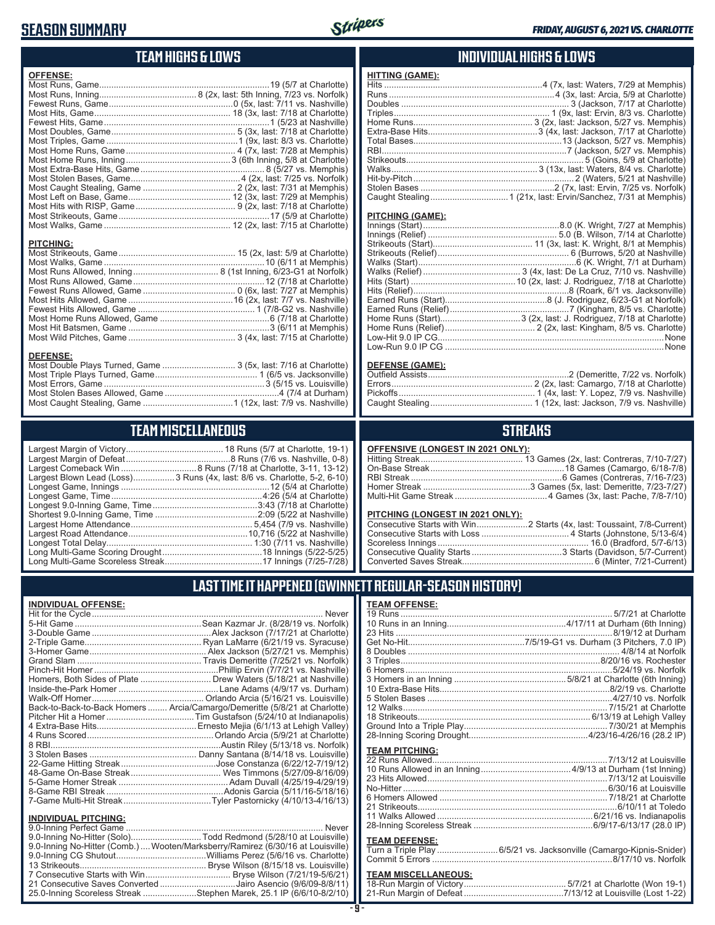### **SEASON SUMMARY**



### **TEAM HIGHS & LOWS**

| <b>OFFENSE:</b>  |  |
|------------------|--|
|                  |  |
|                  |  |
|                  |  |
|                  |  |
|                  |  |
|                  |  |
|                  |  |
|                  |  |
|                  |  |
|                  |  |
|                  |  |
|                  |  |
|                  |  |
|                  |  |
|                  |  |
|                  |  |
|                  |  |
| <b>PITCHING:</b> |  |
|                  |  |
|                  |  |
|                  |  |
|                  |  |
|                  |  |
|                  |  |
|                  |  |
|                  |  |
|                  |  |
|                  |  |
|                  |  |
| <b>DEFENSE:</b>  |  |

#### **DEFENSE:**

| Most Double Plays Turned, Game  3 (5x, last: 7/16 at Charlotte) |  |
|-----------------------------------------------------------------|--|
|                                                                 |  |
|                                                                 |  |
|                                                                 |  |
|                                                                 |  |
|                                                                 |  |

## **TEAM MISCELLANEOUS**

| Largest Blown Lead (Loss)3 Runs (4x, last: 8/6 vs. Charlotte, 5-2, 6-10) |  |
|--------------------------------------------------------------------------|--|
|                                                                          |  |
| Longest Game, Time……………………………………………………4:26 (5/4 at Charlotte)            |  |
|                                                                          |  |
|                                                                          |  |
|                                                                          |  |
|                                                                          |  |
|                                                                          |  |
|                                                                          |  |
|                                                                          |  |

### **INDIVIDUAL HIGHS & LOWS**

| <b>HITTING (GAME):</b> |  |
|------------------------|--|
|                        |  |
|                        |  |
|                        |  |
|                        |  |
|                        |  |
|                        |  |
|                        |  |
|                        |  |
|                        |  |
|                        |  |
|                        |  |
|                        |  |
|                        |  |
|                        |  |

#### **PITCHING (GAME):**

#### **DEFENSE (GAME):**

### **STREAKS**

#### **OFFENSIVE (LONGEST IN 2021 ONLY):**

#### **PITCHING (LONGEST IN 2021 ONLY):**

### **LAST TIME IT HAPPENED (GWINNETT REGULAR-SEASON HISTORY)**

#### **INDIVIDUAL OFFENSE:**

|                             | Homers, Both Sides of Plate  Drew Waters (5/18/21 at Nashville)            |
|-----------------------------|----------------------------------------------------------------------------|
|                             |                                                                            |
|                             |                                                                            |
|                             | Back-to-Back-to-Back Homers  Arcia/Camargo/Demeritte (5/8/21 at Charlotte) |
|                             |                                                                            |
|                             |                                                                            |
|                             |                                                                            |
|                             |                                                                            |
|                             |                                                                            |
|                             |                                                                            |
|                             |                                                                            |
|                             |                                                                            |
|                             |                                                                            |
|                             |                                                                            |
| <b>INDIVIDUAL PITCHING:</b> |                                                                            |
|                             |                                                                            |

| 9.0-Inning No-Hitter (Solo)Todd Redmond (5/28/10 at Louisville)                 |  |
|---------------------------------------------------------------------------------|--|
| 9.0-Inning No-Hitter (Comb.)  Wooten/Marksberry/Ramirez (6/30/16 at Louisville) |  |
|                                                                                 |  |
|                                                                                 |  |
|                                                                                 |  |
| 21 Consecutive Saves Converted Jairo Asencio (9/6/09-8/8/11)                    |  |
| 25.0-Inning Scoreless Streak Stephen Marek, 25.1 IP (6/6/10-8/2/10)             |  |
|                                                                                 |  |

#### **TEAM OFFENSE:**

| <b>TEAM PITCHING:</b> |  |
|-----------------------|--|
|                       |  |
|                       |  |
|                       |  |
|                       |  |
|                       |  |
|                       |  |
|                       |  |
|                       |  |
| TEAM BEFEMAE.         |  |

#### **TEAM DEFENSE:**

| Turn a Triple Play 6/5/21 vs. Jacksonville (Camargo-Kipnis-Snider) |  |
|--------------------------------------------------------------------|--|
|                                                                    |  |

| <b>TEAM MISCELLANEOUS:</b> |  |
|----------------------------|--|
|                            |  |
|                            |  |